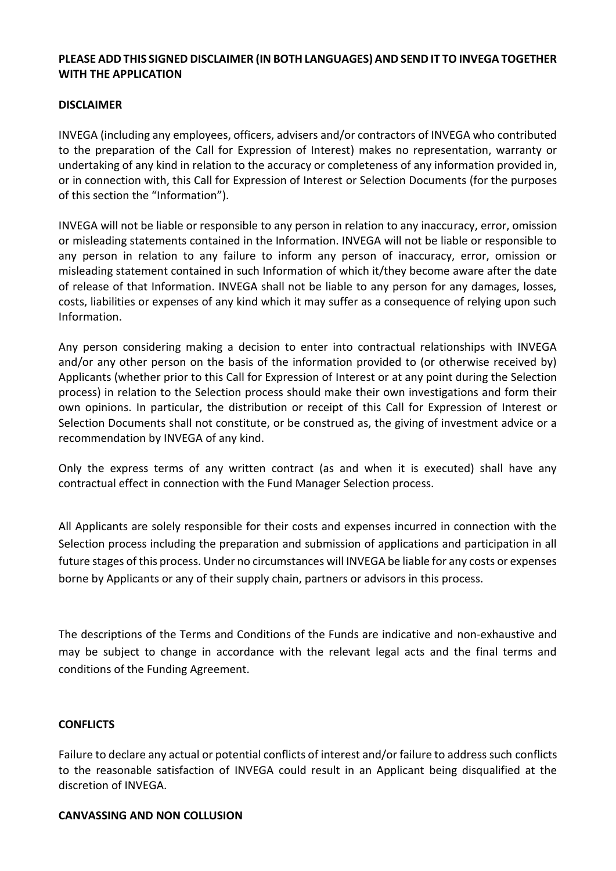### **PLEASE ADD THIS SIGNED DISCLAIMER (IN BOTH LANGUAGES) AND SEND IT TO INVEGA TOGETHER WITH THE APPLICATION**

#### **DISCLAIMER**

INVEGA (including any employees, officers, advisers and/or contractors of INVEGA who contributed to the preparation of the Call for Expression of Interest) makes no representation, warranty or undertaking of any kind in relation to the accuracy or completeness of any information provided in, or in connection with, this Call for Expression of Interest or Selection Documents (for the purposes of this section the "Information").

INVEGA will not be liable or responsible to any person in relation to any inaccuracy, error, omission or misleading statements contained in the Information. INVEGA will not be liable or responsible to any person in relation to any failure to inform any person of inaccuracy, error, omission or misleading statement contained in such Information of which it/they become aware after the date of release of that Information. INVEGA shall not be liable to any person for any damages, losses, costs, liabilities or expenses of any kind which it may suffer as a consequence of relying upon such Information.

Any person considering making a decision to enter into contractual relationships with INVEGA and/or any other person on the basis of the information provided to (or otherwise received by) Applicants (whether prior to this Call for Expression of Interest or at any point during the Selection process) in relation to the Selection process should make their own investigations and form their own opinions. In particular, the distribution or receipt of this Call for Expression of Interest or Selection Documents shall not constitute, or be construed as, the giving of investment advice or a recommendation by INVEGA of any kind.

Only the express terms of any written contract (as and when it is executed) shall have any contractual effect in connection with the Fund Manager Selection process.

All Applicants are solely responsible for their costs and expenses incurred in connection with the Selection process including the preparation and submission of applications and participation in all future stages of this process. Under no circumstances will INVEGA be liable for any costs or expenses borne by Applicants or any of their supply chain, partners or advisors in this process.

The descriptions of the Terms and Conditions of the Funds are indicative and non-exhaustive and may be subject to change in accordance with the relevant legal acts and the final terms and conditions of the Funding Agreement.

#### **CONFLICTS**

Failure to declare any actual or potential conflicts of interest and/or failure to address such conflicts to the reasonable satisfaction of INVEGA could result in an Applicant being disqualified at the discretion of INVEGA.

#### **CANVASSING AND NON COLLUSION**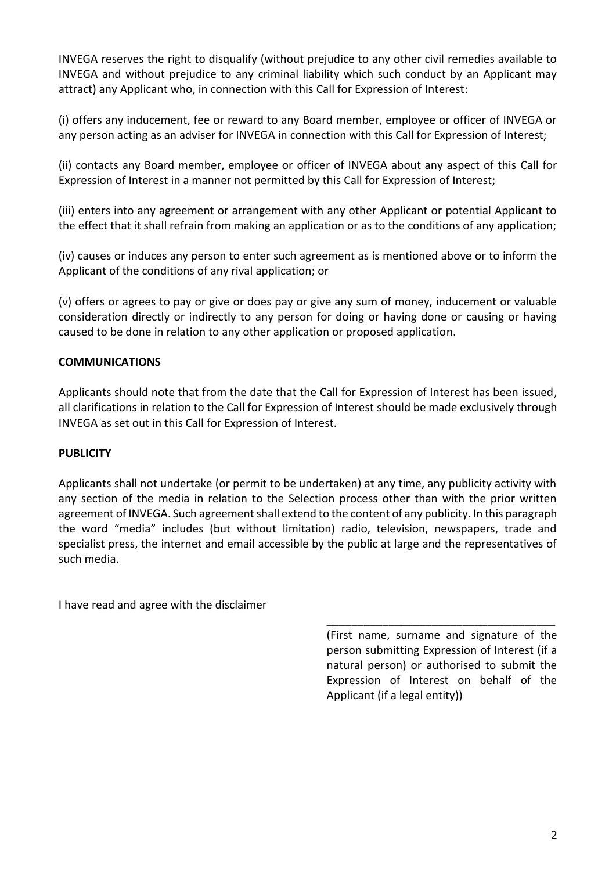INVEGA reserves the right to disqualify (without prejudice to any other civil remedies available to INVEGA and without prejudice to any criminal liability which such conduct by an Applicant may attract) any Applicant who, in connection with this Call for Expression of Interest:

(i) offers any inducement, fee or reward to any Board member, employee or officer of INVEGA or any person acting as an adviser for INVEGA in connection with this Call for Expression of Interest;

(ii) contacts any Board member, employee or officer of INVEGA about any aspect of this Call for Expression of Interest in a manner not permitted by this Call for Expression of Interest;

(iii) enters into any agreement or arrangement with any other Applicant or potential Applicant to the effect that it shall refrain from making an application or as to the conditions of any application;

(iv) causes or induces any person to enter such agreement as is mentioned above or to inform the Applicant of the conditions of any rival application; or

(v) offers or agrees to pay or give or does pay or give any sum of money, inducement or valuable consideration directly or indirectly to any person for doing or having done or causing or having caused to be done in relation to any other application or proposed application.

## **COMMUNICATIONS**

Applicants should note that from the date that the Call for Expression of Interest has been issued, all clarifications in relation to the Call for Expression of Interest should be made exclusively through INVEGA as set out in this Call for Expression of Interest.

## **PUBLICITY**

Applicants shall not undertake (or permit to be undertaken) at any time, any publicity activity with any section of the media in relation to the Selection process other than with the prior written agreement of INVEGA. Such agreement shall extend to the content of any publicity. In this paragraph the word "media" includes (but without limitation) radio, television, newspapers, trade and specialist press, the internet and email accessible by the public at large and the representatives of such media.

I have read and agree with the disclaimer

(First name, surname and signature of the person submitting Expression of Interest (if a natural person) or authorised to submit the Expression of Interest on behalf of the Applicant (if a legal entity))

\_\_\_\_\_\_\_\_\_\_\_\_\_\_\_\_\_\_\_\_\_\_\_\_\_\_\_\_\_\_\_\_\_\_\_\_\_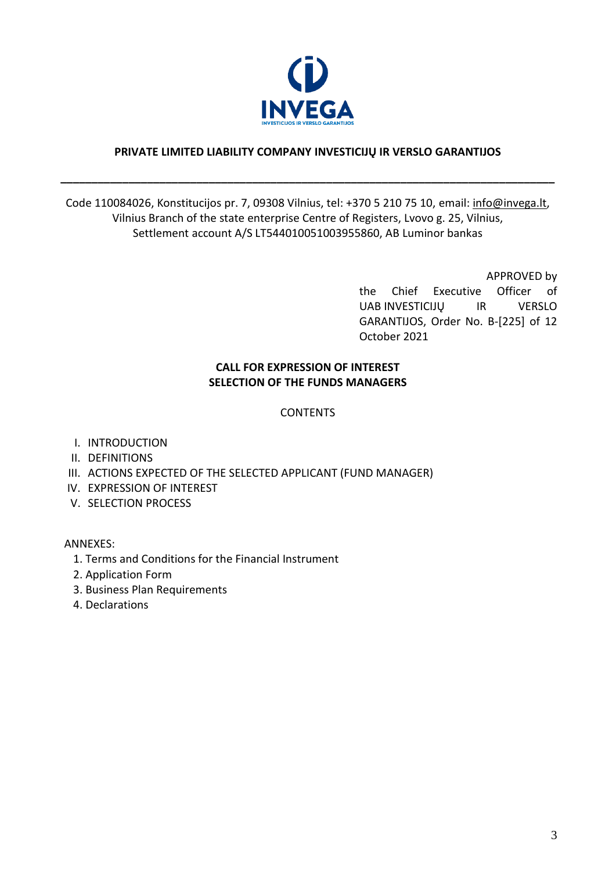

## **PRIVATE LIMITED LIABILITY COMPANY INVESTICIJŲ IR VERSLO GARANTIJOS**

**\_\_\_\_\_\_\_\_\_\_\_\_\_\_\_\_\_\_\_\_\_\_\_\_\_\_\_\_\_\_\_\_\_\_\_\_\_\_\_\_\_\_\_\_\_\_\_\_\_\_\_\_\_\_\_\_\_\_\_\_\_\_\_\_\_\_\_\_\_\_\_\_\_\_\_\_\_\_\_\_**

## Code 110084026, Konstitucijos pr. 7, 09308 Vilnius, tel: +370 5 210 75 10, email: [info@invega.lt,](mailto:info@invega.lt) Vilnius Branch of the state enterprise Centre of Registers, Lvovo g. 25, Vilnius, Settlement account A/S LT544010051003955860, AB Luminor bankas

APPROVED by the Chief Executive Officer of UAB INVESTICIJŲ IR VERSLO GARANTIJOS, Order No. B-[225] of 12 October 2021

# **CALL FOR EXPRESSION OF INTEREST SELECTION OF THE FUNDS MANAGERS**

#### **CONTENTS**

- I. INTRODUCTION
- II. DEFINITIONS
- III. ACTIONS EXPECTED OF THE SELECTED APPLICANT (FUND MANAGER)
- IV. EXPRESSION OF INTEREST
- V. SELECTION PROCESS

ANNEXES:

- 1. Terms and Conditions for the Financial Instrument
- 2. Application Form
- 3. Business Plan Requirements
- 4. Declarations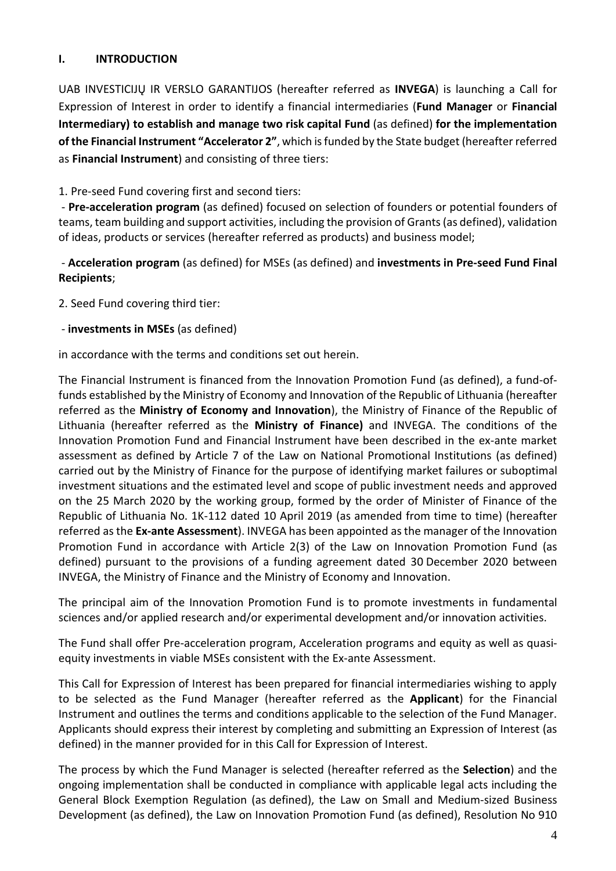#### **I. INTRODUCTION**

UAB INVESTICIJŲ IR VERSLO GARANTIJOS (hereafter referred as **INVEGA**) is launching a Call for Expression of Interest in order to identify a financial intermediaries (**Fund Manager** or **Financial Intermediary) to establish and manage two risk capital Fund** (as defined) **for the implementation of the Financial Instrument "Accelerator 2"**, which is funded by the State budget (hereafter referred as **Financial Instrument**) and consisting of three tiers:

1. Pre-seed Fund covering first and second tiers:

- **Pre-acceleration program** (as defined) focused on selection of founders or potential founders of teams, team building and support activities, including the provision of Grants (as defined), validation of ideas, products or services (hereafter referred as products) and business model;

- **Acceleration program** (as defined) for MSEs (as defined) and **investments in Pre-seed Fund Final Recipients**;

2. Seed Fund covering third tier:

- **investments in MSEs** (as defined)

in accordance with the terms and conditions set out herein.

The Financial Instrument is financed from the Innovation Promotion Fund (as defined), a fund-offunds established by the Ministry of Economy and Innovation of the Republic of Lithuania (hereafter referred as the **Ministry of Economy and Innovation**), the Ministry of Finance of the Republic of Lithuania (hereafter referred as the **Ministry of Finance)** and INVEGA. The conditions of the Innovation Promotion Fund and Financial Instrument have been described in the ex-ante market assessment as defined by Article 7 of the Law on National Promotional Institutions (as defined) carried out by the Ministry of Finance for the purpose of identifying market failures or suboptimal investment situations and the estimated level and scope of public investment needs and approved on the 25 March 2020 by the working group, formed by the order of Minister of Finance of the Republic of Lithuania No. 1K-112 dated 10 April 2019 (as amended from time to time) (hereafter referred as the **Ex-ante Assessment**). INVEGA has been appointed as the manager of the Innovation Promotion Fund in accordance with Article 2(3) of the Law on Innovation Promotion Fund (as defined) pursuant to the provisions of a funding agreement dated 30 December 2020 between INVEGA, the Ministry of Finance and the Ministry of Economy and Innovation.

The principal aim of the Innovation Promotion Fund is to promote investments in fundamental sciences and/or applied research and/or experimental development and/or innovation activities.

The Fund shall offer Pre-acceleration program, Acceleration programs and equity as well as quasiequity investments in viable MSEs consistent with the Ex-ante Assessment.

This Call for Expression of Interest has been prepared for financial intermediaries wishing to apply to be selected as the Fund Manager (hereafter referred as the **Applicant**) for the Financial Instrument and outlines the terms and conditions applicable to the selection of the Fund Manager. Applicants should express their interest by completing and submitting an Expression of Interest (as defined) in the manner provided for in this Call for Expression of Interest.

The process by which the Fund Manager is selected (hereafter referred as the **Selection**) and the ongoing implementation shall be conducted in compliance with applicable legal acts including the General Block Exemption Regulation (as defined), the Law on Small and Medium-sized Business Development (as defined), the Law on Innovation Promotion Fund (as defined), Resolution No 910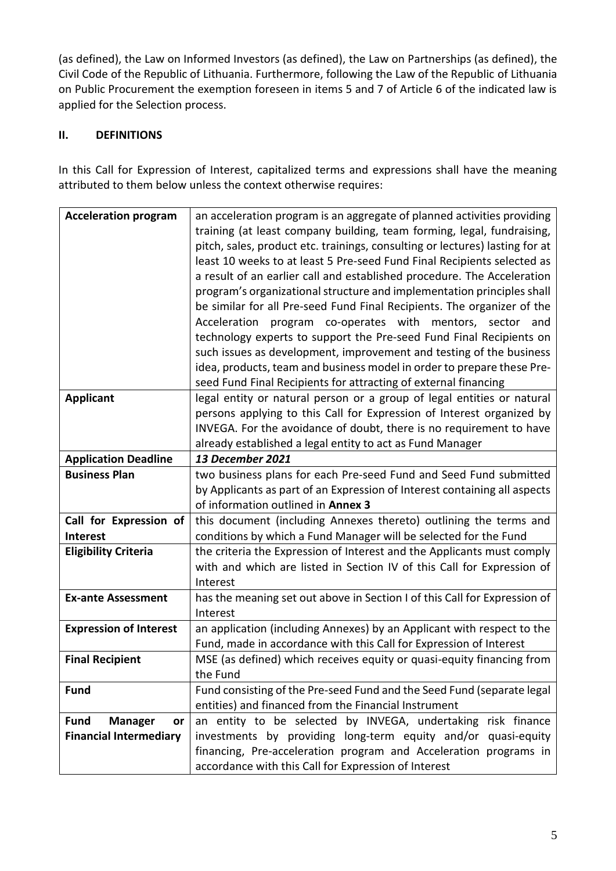(as defined), the Law on Informed Investors (as defined), the Law on Partnerships (as defined), the Civil Code of the Republic of Lithuania. Furthermore, following the Law of the Republic of Lithuania on Public Procurement the exemption foreseen in items 5 and 7 of Article 6 of the indicated law is applied for the Selection process.

# **II. DEFINITIONS**

In this Call for Expression of Interest, capitalized terms and expressions shall have the meaning attributed to them below unless the context otherwise requires:

| <b>Acceleration program</b>         | an acceleration program is an aggregate of planned activities providing<br>training (at least company building, team forming, legal, fundraising,<br>pitch, sales, product etc. trainings, consulting or lectures) lasting for at<br>least 10 weeks to at least 5 Pre-seed Fund Final Recipients selected as<br>a result of an earlier call and established procedure. The Acceleration<br>program's organizational structure and implementation principles shall<br>be similar for all Pre-seed Fund Final Recipients. The organizer of the<br>program co-operates with mentors, sector and<br>Acceleration<br>technology experts to support the Pre-seed Fund Final Recipients on<br>such issues as development, improvement and testing of the business<br>idea, products, team and business model in order to prepare these Pre-<br>seed Fund Final Recipients for attracting of external financing |  |
|-------------------------------------|---------------------------------------------------------------------------------------------------------------------------------------------------------------------------------------------------------------------------------------------------------------------------------------------------------------------------------------------------------------------------------------------------------------------------------------------------------------------------------------------------------------------------------------------------------------------------------------------------------------------------------------------------------------------------------------------------------------------------------------------------------------------------------------------------------------------------------------------------------------------------------------------------------|--|
| <b>Applicant</b>                    | legal entity or natural person or a group of legal entities or natural<br>persons applying to this Call for Expression of Interest organized by<br>INVEGA. For the avoidance of doubt, there is no requirement to have<br>already established a legal entity to act as Fund Manager                                                                                                                                                                                                                                                                                                                                                                                                                                                                                                                                                                                                                     |  |
| <b>Application Deadline</b>         | <b>13 December 2021</b>                                                                                                                                                                                                                                                                                                                                                                                                                                                                                                                                                                                                                                                                                                                                                                                                                                                                                 |  |
| <b>Business Plan</b>                | two business plans for each Pre-seed Fund and Seed Fund submitted                                                                                                                                                                                                                                                                                                                                                                                                                                                                                                                                                                                                                                                                                                                                                                                                                                       |  |
|                                     | by Applicants as part of an Expression of Interest containing all aspects                                                                                                                                                                                                                                                                                                                                                                                                                                                                                                                                                                                                                                                                                                                                                                                                                               |  |
|                                     | of information outlined in Annex 3                                                                                                                                                                                                                                                                                                                                                                                                                                                                                                                                                                                                                                                                                                                                                                                                                                                                      |  |
| Call for Expression of              | this document (including Annexes thereto) outlining the terms and                                                                                                                                                                                                                                                                                                                                                                                                                                                                                                                                                                                                                                                                                                                                                                                                                                       |  |
| <b>Interest</b>                     | conditions by which a Fund Manager will be selected for the Fund                                                                                                                                                                                                                                                                                                                                                                                                                                                                                                                                                                                                                                                                                                                                                                                                                                        |  |
| <b>Eligibility Criteria</b>         | the criteria the Expression of Interest and the Applicants must comply<br>with and which are listed in Section IV of this Call for Expression of<br>Interest                                                                                                                                                                                                                                                                                                                                                                                                                                                                                                                                                                                                                                                                                                                                            |  |
| <b>Ex-ante Assessment</b>           | has the meaning set out above in Section I of this Call for Expression of<br>Interest                                                                                                                                                                                                                                                                                                                                                                                                                                                                                                                                                                                                                                                                                                                                                                                                                   |  |
| <b>Expression of Interest</b>       | an application (including Annexes) by an Applicant with respect to the                                                                                                                                                                                                                                                                                                                                                                                                                                                                                                                                                                                                                                                                                                                                                                                                                                  |  |
|                                     | Fund, made in accordance with this Call for Expression of Interest                                                                                                                                                                                                                                                                                                                                                                                                                                                                                                                                                                                                                                                                                                                                                                                                                                      |  |
| <b>Final Recipient</b>              | MSE (as defined) which receives equity or quasi-equity financing from                                                                                                                                                                                                                                                                                                                                                                                                                                                                                                                                                                                                                                                                                                                                                                                                                                   |  |
|                                     | the Fund                                                                                                                                                                                                                                                                                                                                                                                                                                                                                                                                                                                                                                                                                                                                                                                                                                                                                                |  |
| <b>Fund</b>                         | Fund consisting of the Pre-seed Fund and the Seed Fund (separate legal                                                                                                                                                                                                                                                                                                                                                                                                                                                                                                                                                                                                                                                                                                                                                                                                                                  |  |
|                                     | entities) and financed from the Financial Instrument                                                                                                                                                                                                                                                                                                                                                                                                                                                                                                                                                                                                                                                                                                                                                                                                                                                    |  |
| <b>Fund</b><br><b>Manager</b><br>or | an entity to be selected by INVEGA, undertaking risk finance                                                                                                                                                                                                                                                                                                                                                                                                                                                                                                                                                                                                                                                                                                                                                                                                                                            |  |
| <b>Financial Intermediary</b>       | investments by providing long-term equity and/or quasi-equity                                                                                                                                                                                                                                                                                                                                                                                                                                                                                                                                                                                                                                                                                                                                                                                                                                           |  |
|                                     | financing, Pre-acceleration program and Acceleration programs in                                                                                                                                                                                                                                                                                                                                                                                                                                                                                                                                                                                                                                                                                                                                                                                                                                        |  |
|                                     | accordance with this Call for Expression of Interest                                                                                                                                                                                                                                                                                                                                                                                                                                                                                                                                                                                                                                                                                                                                                                                                                                                    |  |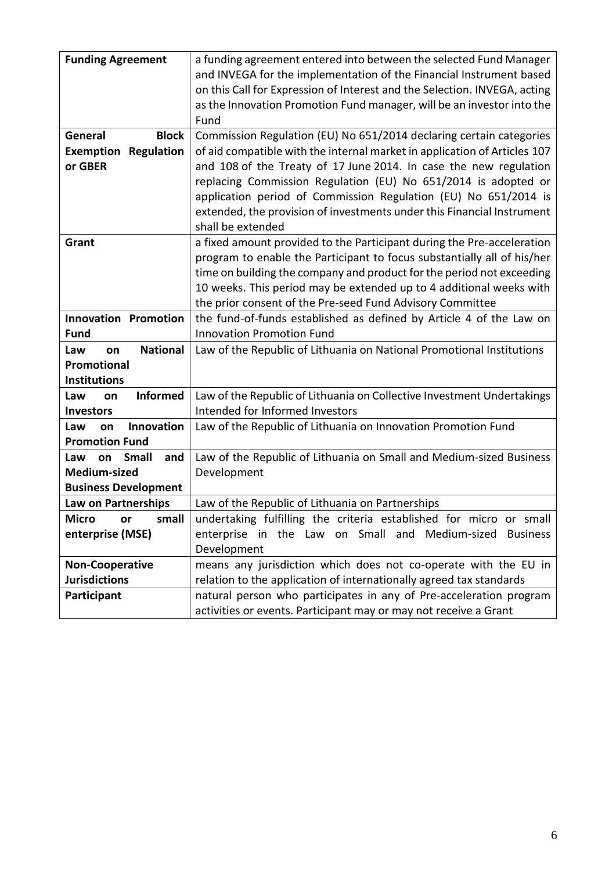| <b>Funding Agreement</b>         | a funding agreement entered into between the selected Fund Manager        |  |
|----------------------------------|---------------------------------------------------------------------------|--|
|                                  | and INVEGA for the implementation of the Financial Instrument based       |  |
|                                  | on this Call for Expression of Interest and the Selection. INVEGA, acting |  |
|                                  | as the Innovation Promotion Fund manager, will be an investor into the    |  |
|                                  | Fund                                                                      |  |
| <b>Block</b><br>General          | Commission Regulation (EU) No 651/2014 declaring certain categories       |  |
| Regulation<br>Exemption          | of aid compatible with the internal market in application of Articles 107 |  |
| or GBER                          | and 108 of the Treaty of 17 June 2014. In case the new regulation         |  |
|                                  | replacing Commission Regulation (EU) No 651/2014 is adopted or            |  |
|                                  | application period of Commission Regulation (EU) No 651/2014 is           |  |
|                                  | extended, the provision of investments under this Financial Instrument    |  |
|                                  | shall be extended                                                         |  |
| Grant                            | a fixed amount provided to the Participant during the Pre-acceleration    |  |
|                                  | program to enable the Participant to focus substantially all of his/her   |  |
|                                  | time on building the company and product for the period not exceeding     |  |
|                                  | 10 weeks. This period may be extended up to 4 additional weeks with       |  |
|                                  | the prior consent of the Pre-seed Fund Advisory Committee                 |  |
| <b>Innovation Promotion</b>      | the fund-of-funds established as defined by Article 4 of the Law on       |  |
| <b>Fund</b>                      | <b>Innovation Promotion Fund</b>                                          |  |
| <b>National</b><br>Law<br>on     | Law of the Republic of Lithuania on National Promotional Institutions     |  |
| Promotional                      |                                                                           |  |
| <b>Institutions</b>              |                                                                           |  |
| Informed<br>Law<br>on            | Law of the Republic of Lithuania on Collective Investment Undertakings    |  |
| <b>Investors</b>                 | Intended for Informed Investors                                           |  |
| Innovation<br>Law<br>on          | Law of the Republic of Lithuania on Innovation Promotion Fund             |  |
| <b>Promotion Fund</b>            |                                                                           |  |
| <b>Small</b><br>Law<br>and<br>on | Law of the Republic of Lithuania on Small and Medium-sized Business       |  |
| Medium-sized                     | Development                                                               |  |
| <b>Business Development</b>      |                                                                           |  |
| Law on Partnerships              | Law of the Republic of Lithuania on Partnerships                          |  |
| <b>Micro</b><br>small<br>or      | undertaking fulfilling the criteria established for micro or small        |  |
| enterprise (MSE)                 | enterprise in the Law on Small and Medium-sized<br><b>Business</b>        |  |
|                                  | Development                                                               |  |
| <b>Non-Cooperative</b>           | means any jurisdiction which does not co-operate with the EU in           |  |
| <b>Jurisdictions</b>             | relation to the application of internationally agreed tax standards       |  |
| Participant                      | natural person who participates in any of Pre-acceleration program        |  |
|                                  | activities or events. Participant may or may not receive a Grant          |  |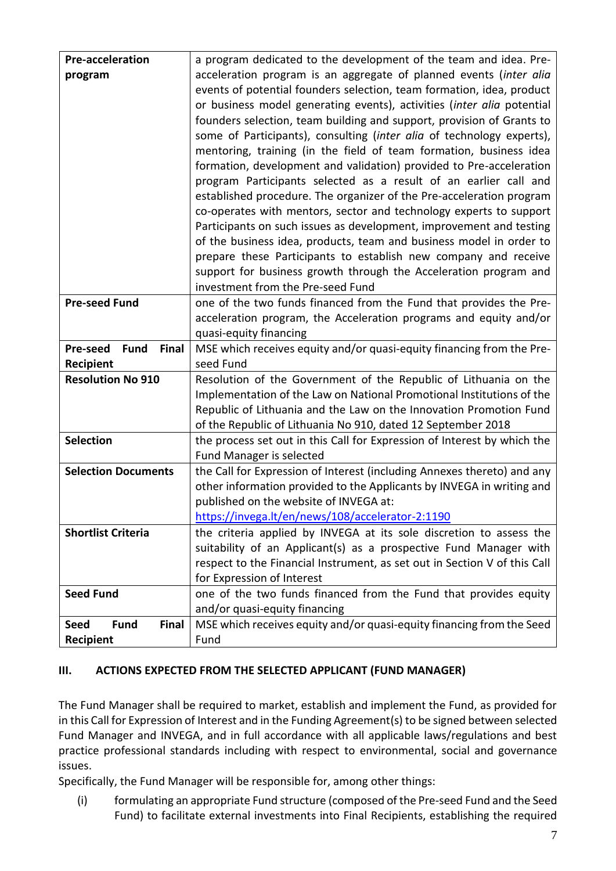| <b>Pre-acceleration</b>                 | a program dedicated to the development of the team and idea. Pre-                                                                        |
|-----------------------------------------|------------------------------------------------------------------------------------------------------------------------------------------|
| program                                 | acceleration program is an aggregate of planned events (inter alia                                                                       |
|                                         | events of potential founders selection, team formation, idea, product                                                                    |
|                                         | or business model generating events), activities (inter alia potential                                                                   |
|                                         | founders selection, team building and support, provision of Grants to                                                                    |
|                                         | some of Participants), consulting (inter alia of technology experts),                                                                    |
|                                         | mentoring, training (in the field of team formation, business idea                                                                       |
|                                         | formation, development and validation) provided to Pre-acceleration                                                                      |
|                                         | program Participants selected as a result of an earlier call and                                                                         |
|                                         | established procedure. The organizer of the Pre-acceleration program                                                                     |
|                                         | co-operates with mentors, sector and technology experts to support                                                                       |
|                                         | Participants on such issues as development, improvement and testing                                                                      |
|                                         | of the business idea, products, team and business model in order to                                                                      |
|                                         | prepare these Participants to establish new company and receive                                                                          |
|                                         | support for business growth through the Acceleration program and                                                                         |
|                                         | investment from the Pre-seed Fund                                                                                                        |
| <b>Pre-seed Fund</b>                    | one of the two funds financed from the Fund that provides the Pre-                                                                       |
|                                         | acceleration program, the Acceleration programs and equity and/or                                                                        |
|                                         | quasi-equity financing                                                                                                                   |
| <b>Fund</b><br>Pre-seed<br><b>Final</b> | MSE which receives equity and/or quasi-equity financing from the Pre-                                                                    |
| Recipient                               | seed Fund                                                                                                                                |
| <b>Resolution No 910</b>                | Resolution of the Government of the Republic of Lithuania on the                                                                         |
|                                         | Implementation of the Law on National Promotional Institutions of the                                                                    |
|                                         | Republic of Lithuania and the Law on the Innovation Promotion Fund                                                                       |
| <b>Selection</b>                        | of the Republic of Lithuania No 910, dated 12 September 2018<br>the process set out in this Call for Expression of Interest by which the |
|                                         | <b>Fund Manager is selected</b>                                                                                                          |
| <b>Selection Documents</b>              | the Call for Expression of Interest (including Annexes thereto) and any                                                                  |
|                                         | other information provided to the Applicants by INVEGA in writing and                                                                    |
|                                         | published on the website of INVEGA at:                                                                                                   |
|                                         | https://invega.lt/en/news/108/accelerator-2:1190                                                                                         |
| <b>Shortlist Criteria</b>               | the criteria applied by INVEGA at its sole discretion to assess the                                                                      |
|                                         | suitability of an Applicant(s) as a prospective Fund Manager with                                                                        |
|                                         | respect to the Financial Instrument, as set out in Section V of this Call                                                                |
|                                         | for Expression of Interest                                                                                                               |
| <b>Seed Fund</b>                        | one of the two funds financed from the Fund that provides equity                                                                         |
|                                         | and/or quasi-equity financing                                                                                                            |
| Final<br><b>Fund</b><br><b>Seed</b>     | MSE which receives equity and/or quasi-equity financing from the Seed                                                                    |
| Recipient                               | Fund                                                                                                                                     |

## **III. ACTIONS EXPECTED FROM THE SELECTED APPLICANT (FUND MANAGER)**

The Fund Manager shall be required to market, establish and implement the Fund, as provided for in this Call for Expression of Interest and in the Funding Agreement(s) to be signed between selected Fund Manager and INVEGA, and in full accordance with all applicable laws/regulations and best practice professional standards including with respect to environmental, social and governance issues.

Specifically, the Fund Manager will be responsible for, among other things:

(i) formulating an appropriate Fund structure (composed of the Pre-seed Fund and the Seed Fund) to facilitate external investments into Final Recipients, establishing the required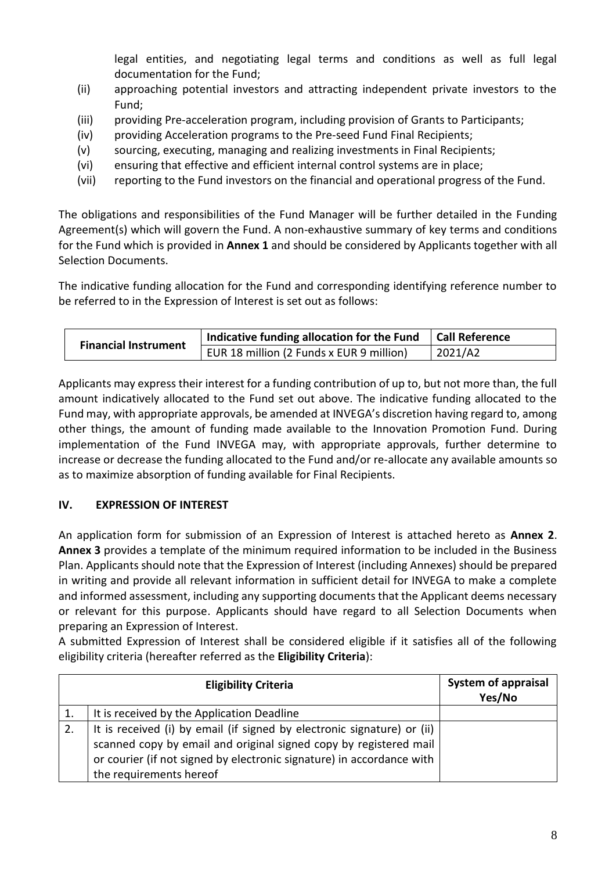legal entities, and negotiating legal terms and conditions as well as full legal documentation for the Fund;

- (ii) approaching potential investors and attracting independent private investors to the Fund;
- (iii) providing Pre-acceleration program, including provision of Grants to Participants;
- (iv) providing Acceleration programs to the Pre-seed Fund Final Recipients;
- (v) sourcing, executing, managing and realizing investments in Final Recipients;
- (vi) ensuring that effective and efficient internal control systems are in place;
- (vii) reporting to the Fund investors on the financial and operational progress of the Fund.

The obligations and responsibilities of the Fund Manager will be further detailed in the Funding Agreement(s) which will govern the Fund. A non-exhaustive summary of key terms and conditions for the Fund which is provided in **Annex 1** and should be considered by Applicants together with all Selection Documents.

The indicative funding allocation for the Fund and corresponding identifying reference number to be referred to in the Expression of Interest is set out as follows:

| <b>Financial Instrument</b> | Indicative funding allocation for the Fund $\vert$ Call Reference |                |
|-----------------------------|-------------------------------------------------------------------|----------------|
|                             | EUR 18 million (2 Funds x EUR 9 million)                          | $\mid$ 2021/A2 |

Applicants may express their interest for a funding contribution of up to, but not more than, the full amount indicatively allocated to the Fund set out above. The indicative funding allocated to the Fund may, with appropriate approvals, be amended at INVEGA's discretion having regard to, among other things, the amount of funding made available to the Innovation Promotion Fund. During implementation of the Fund INVEGA may, with appropriate approvals, further determine to increase or decrease the funding allocated to the Fund and/or re-allocate any available amounts so as to maximize absorption of funding available for Final Recipients.

## **IV. EXPRESSION OF INTEREST**

An application form for submission of an Expression of Interest is attached hereto as **Annex 2**. **Annex 3** provides a template of the minimum required information to be included in the Business Plan. Applicants should note that the Expression of Interest (including Annexes) should be prepared in writing and provide all relevant information in sufficient detail for INVEGA to make a complete and informed assessment, including any supporting documents that the Applicant deems necessary or relevant for this purpose. Applicants should have regard to all Selection Documents when preparing an Expression of Interest.

A submitted Expression of Interest shall be considered eligible if it satisfies all of the following eligibility criteria (hereafter referred as the **Eligibility Criteria**):

| <b>Eligibility Criteria</b>                                             | <b>System of appraisal</b><br>Yes/No |
|-------------------------------------------------------------------------|--------------------------------------|
| It is received by the Application Deadline                              |                                      |
| It is received (i) by email (if signed by electronic signature) or (ii) |                                      |
| scanned copy by email and original signed copy by registered mail       |                                      |
| or courier (if not signed by electronic signature) in accordance with   |                                      |
| the requirements hereof                                                 |                                      |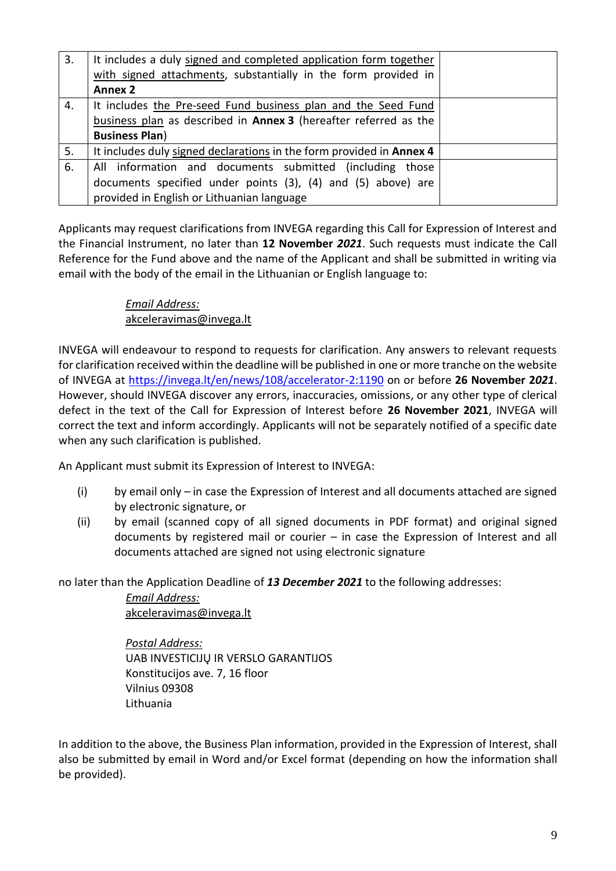| 3. | It includes a duly signed and completed application form together    |  |
|----|----------------------------------------------------------------------|--|
|    | with signed attachments, substantially in the form provided in       |  |
|    | <b>Annex 2</b>                                                       |  |
| 4. | It includes the Pre-seed Fund business plan and the Seed Fund        |  |
|    | business plan as described in Annex 3 (hereafter referred as the     |  |
|    | <b>Business Plan)</b>                                                |  |
| 5. | It includes duly signed declarations in the form provided in Annex 4 |  |
| 6. | All information and documents submitted (including those             |  |
|    | documents specified under points (3), (4) and (5) above) are         |  |
|    | provided in English or Lithuanian language                           |  |

Applicants may request clarifications from INVEGA regarding this Call for Expression of Interest and the Financial Instrument, no later than **12 November** *2021*. Such requests must indicate the Call Reference for the Fund above and the name of the Applicant and shall be submitted in writing via email with the body of the email in the Lithuanian or English language to:

# *Email Address:*  [akceleravimas@invega.lt](mailto:equity@invega.lt)

INVEGA will endeavour to respond to requests for clarification. Any answers to relevant requests for clarification received within the deadline will be published in one or more tranche on the website of INVEGA at <https://invega.lt/en/news/108/accelerator-2:1190> on or before **26 November 2***021*. However, should INVEGA discover any errors, inaccuracies, omissions, or any other type of clerical defect in the text of the Call for Expression of Interest before **26 November 2021**, INVEGA will correct the text and inform accordingly. Applicants will not be separately notified of a specific date when any such clarification is published.

An Applicant must submit its Expression of Interest to INVEGA:

- (i) by email only in case the Expression of Interest and all documents attached are signed by electronic signature, or
- (ii) by email (scanned copy of all signed documents in PDF format) and original signed documents by registered mail or courier – in case the Expression of Interest and all documents attached are signed not using electronic signature

no later than the Application Deadline of *13 December 2021* to the following addresses:

*Email Address:*  [akceleravimas@invega.lt](mailto:equity@invega.lt)

*Postal Address:* UAB INVESTICIJŲ IR VERSLO GARANTIJOS Konstitucijos ave. 7, 16 floor Vilnius 09308 Lithuania

In addition to the above, the Business Plan information, provided in the Expression of Interest, shall also be submitted by email in Word and/or Excel format (depending on how the information shall be provided).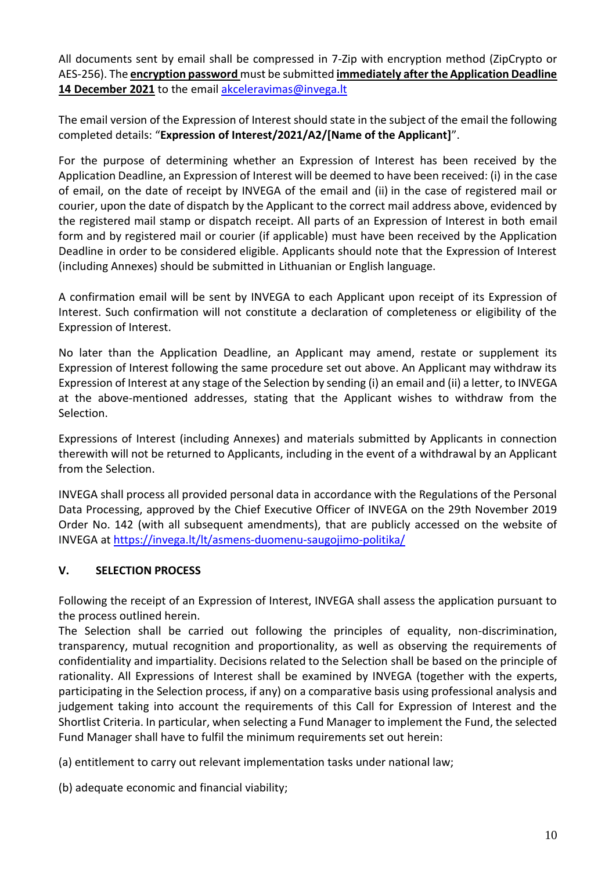All documents sent by email shall be compressed in 7-Zip with encryption method (ZipCrypto or AES-256). The **encryption password** must be submitted **immediately after the Application Deadline** 14 December 2021 to the email [akceleravimas@invega.lt](mailto:akceleravimas@invega.lt)

The email version of the Expression of Interest should state in the subject of the email the following completed details: "**Expression of Interest/2021/A2/[Name of the Applicant]**".

For the purpose of determining whether an Expression of Interest has been received by the Application Deadline, an Expression of Interest will be deemed to have been received: (i) in the case of email, on the date of receipt by INVEGA of the email and (ii) in the case of registered mail or courier, upon the date of dispatch by the Applicant to the correct mail address above, evidenced by the registered mail stamp or dispatch receipt. All parts of an Expression of Interest in both email form and by registered mail or courier (if applicable) must have been received by the Application Deadline in order to be considered eligible. Applicants should note that the Expression of Interest (including Annexes) should be submitted in Lithuanian or English language.

A confirmation email will be sent by INVEGA to each Applicant upon receipt of its Expression of Interest. Such confirmation will not constitute a declaration of completeness or eligibility of the Expression of Interest.

No later than the Application Deadline, an Applicant may amend, restate or supplement its Expression of Interest following the same procedure set out above. An Applicant may withdraw its Expression of Interest at any stage of the Selection by sending (i) an email and (ii) a letter, to INVEGA at the above-mentioned addresses, stating that the Applicant wishes to withdraw from the Selection.

Expressions of Interest (including Annexes) and materials submitted by Applicants in connection therewith will not be returned to Applicants, including in the event of a withdrawal by an Applicant from the Selection.

INVEGA shall process all provided personal data in accordance with the Regulations of the Personal Data Processing, approved by the Chief Executive Officer of INVEGA on the 29th November 2019 Order No. 142 (with all subsequent amendments), that are publicly accessed on the website of INVEGA at<https://invega.lt/lt/asmens-duomenu-saugojimo-politika/>

# **V. SELECTION PROCESS**

Following the receipt of an Expression of Interest, INVEGA shall assess the application pursuant to the process outlined herein.

The Selection shall be carried out following the principles of equality, non-discrimination, transparency, mutual recognition and proportionality, as well as observing the requirements of confidentiality and impartiality. Decisions related to the Selection shall be based on the principle of rationality. All Expressions of Interest shall be examined by INVEGA (together with the experts, participating in the Selection process, if any) on a comparative basis using professional analysis and judgement taking into account the requirements of this Call for Expression of Interest and the Shortlist Criteria. In particular, when selecting a Fund Manager to implement the Fund, the selected Fund Manager shall have to fulfil the minimum requirements set out herein:

(a) entitlement to carry out relevant implementation tasks under national law;

(b) adequate economic and financial viability;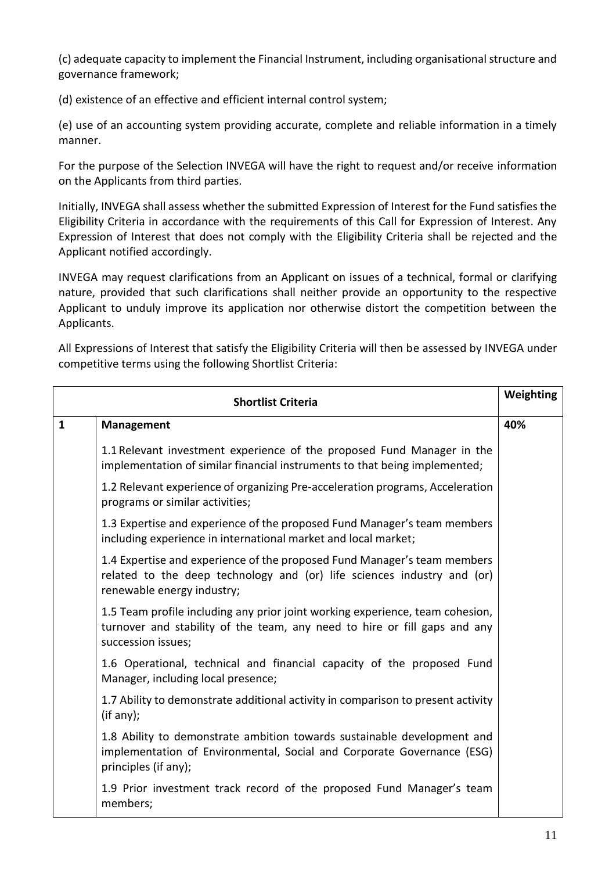(c) adequate capacity to implement the Financial Instrument, including organisational structure and governance framework;

(d) existence of an effective and efficient internal control system;

(e) use of an accounting system providing accurate, complete and reliable information in a timely manner.

For the purpose of the Selection INVEGA will have the right to request and/or receive information on the Applicants from third parties.

Initially, INVEGA shall assess whether the submitted Expression of Interest for the Fund satisfies the Eligibility Criteria in accordance with the requirements of this Call for Expression of Interest. Any Expression of Interest that does not comply with the Eligibility Criteria shall be rejected and the Applicant notified accordingly.

INVEGA may request clarifications from an Applicant on issues of a technical, formal or clarifying nature, provided that such clarifications shall neither provide an opportunity to the respective Applicant to unduly improve its application nor otherwise distort the competition between the Applicants.

All Expressions of Interest that satisfy the Eligibility Criteria will then be assessed by INVEGA under competitive terms using the following Shortlist Criteria:

| <b>Shortlist Criteria</b> |                                                                                                                                                                                   | Weighting |
|---------------------------|-----------------------------------------------------------------------------------------------------------------------------------------------------------------------------------|-----------|
| $\mathbf{1}$              | <b>Management</b>                                                                                                                                                                 | 40%       |
|                           | 1.1 Relevant investment experience of the proposed Fund Manager in the<br>implementation of similar financial instruments to that being implemented;                              |           |
|                           | 1.2 Relevant experience of organizing Pre-acceleration programs, Acceleration<br>programs or similar activities;                                                                  |           |
|                           | 1.3 Expertise and experience of the proposed Fund Manager's team members<br>including experience in international market and local market;                                        |           |
|                           | 1.4 Expertise and experience of the proposed Fund Manager's team members<br>related to the deep technology and (or) life sciences industry and (or)<br>renewable energy industry; |           |
|                           | 1.5 Team profile including any prior joint working experience, team cohesion,<br>turnover and stability of the team, any need to hire or fill gaps and any<br>succession issues;  |           |
|                           | 1.6 Operational, technical and financial capacity of the proposed Fund<br>Manager, including local presence;                                                                      |           |
|                           | 1.7 Ability to demonstrate additional activity in comparison to present activity<br>(if any);                                                                                     |           |
|                           | 1.8 Ability to demonstrate ambition towards sustainable development and<br>implementation of Environmental, Social and Corporate Governance (ESG)<br>principles (if any);         |           |
|                           | 1.9 Prior investment track record of the proposed Fund Manager's team<br>members;                                                                                                 |           |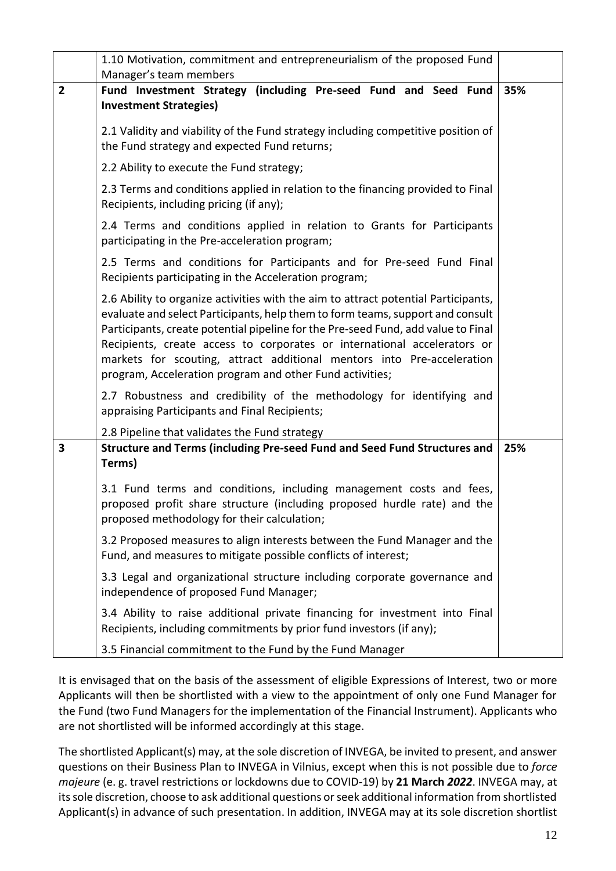|                | 1.10 Motivation, commitment and entrepreneurialism of the proposed Fund                                                                                                                                                                                                                                                                                                                                                                                                     |     |
|----------------|-----------------------------------------------------------------------------------------------------------------------------------------------------------------------------------------------------------------------------------------------------------------------------------------------------------------------------------------------------------------------------------------------------------------------------------------------------------------------------|-----|
|                | Manager's team members                                                                                                                                                                                                                                                                                                                                                                                                                                                      |     |
| $\overline{2}$ | Fund Investment Strategy (including Pre-seed Fund and Seed Fund<br><b>Investment Strategies)</b>                                                                                                                                                                                                                                                                                                                                                                            | 35% |
|                | 2.1 Validity and viability of the Fund strategy including competitive position of<br>the Fund strategy and expected Fund returns;                                                                                                                                                                                                                                                                                                                                           |     |
|                | 2.2 Ability to execute the Fund strategy;                                                                                                                                                                                                                                                                                                                                                                                                                                   |     |
|                | 2.3 Terms and conditions applied in relation to the financing provided to Final<br>Recipients, including pricing (if any);                                                                                                                                                                                                                                                                                                                                                  |     |
|                | 2.4 Terms and conditions applied in relation to Grants for Participants<br>participating in the Pre-acceleration program;                                                                                                                                                                                                                                                                                                                                                   |     |
|                | 2.5 Terms and conditions for Participants and for Pre-seed Fund Final<br>Recipients participating in the Acceleration program;                                                                                                                                                                                                                                                                                                                                              |     |
|                | 2.6 Ability to organize activities with the aim to attract potential Participants,<br>evaluate and select Participants, help them to form teams, support and consult<br>Participants, create potential pipeline for the Pre-seed Fund, add value to Final<br>Recipients, create access to corporates or international accelerators or<br>markets for scouting, attract additional mentors into Pre-acceleration<br>program, Acceleration program and other Fund activities; |     |
|                | 2.7 Robustness and credibility of the methodology for identifying and<br>appraising Participants and Final Recipients;                                                                                                                                                                                                                                                                                                                                                      |     |
|                | 2.8 Pipeline that validates the Fund strategy                                                                                                                                                                                                                                                                                                                                                                                                                               |     |
| 3              | Structure and Terms (including Pre-seed Fund and Seed Fund Structures and<br>Terms)                                                                                                                                                                                                                                                                                                                                                                                         | 25% |
|                | 3.1 Fund terms and conditions, including management costs and fees,<br>proposed profit share structure (including proposed hurdle rate) and the<br>proposed methodology for their calculation;                                                                                                                                                                                                                                                                              |     |
|                | 3.2 Proposed measures to align interests between the Fund Manager and the<br>Fund, and measures to mitigate possible conflicts of interest;                                                                                                                                                                                                                                                                                                                                 |     |
|                | 3.3 Legal and organizational structure including corporate governance and<br>independence of proposed Fund Manager;                                                                                                                                                                                                                                                                                                                                                         |     |
|                | 3.4 Ability to raise additional private financing for investment into Final<br>Recipients, including commitments by prior fund investors (if any);                                                                                                                                                                                                                                                                                                                          |     |
|                | 3.5 Financial commitment to the Fund by the Fund Manager                                                                                                                                                                                                                                                                                                                                                                                                                    |     |

It is envisaged that on the basis of the assessment of eligible Expressions of Interest, two or more Applicants will then be shortlisted with a view to the appointment of only one Fund Manager for the Fund (two Fund Managers for the implementation of the Financial Instrument). Applicants who are not shortlisted will be informed accordingly at this stage.

The shortlisted Applicant(s) may, at the sole discretion of INVEGA, be invited to present, and answer questions on their Business Plan to INVEGA in Vilnius, except when this is not possible due to *force majeure* (e. g. travel restrictions or lockdowns due to COVID-19) by **21 March** *2022*. INVEGA may, at its sole discretion, choose to ask additional questions or seek additional information from shortlisted Applicant(s) in advance of such presentation. In addition, INVEGA may at its sole discretion shortlist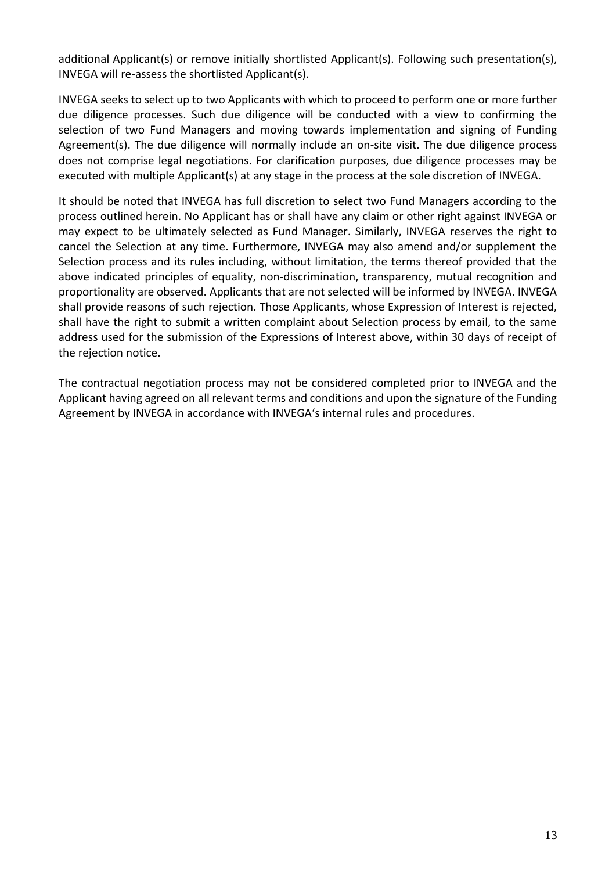additional Applicant(s) or remove initially shortlisted Applicant(s). Following such presentation(s), INVEGA will re-assess the shortlisted Applicant(s).

INVEGA seeks to select up to two Applicants with which to proceed to perform one or more further due diligence processes. Such due diligence will be conducted with a view to confirming the selection of two Fund Managers and moving towards implementation and signing of Funding Agreement(s). The due diligence will normally include an on-site visit. The due diligence process does not comprise legal negotiations. For clarification purposes, due diligence processes may be executed with multiple Applicant(s) at any stage in the process at the sole discretion of INVEGA.

It should be noted that INVEGA has full discretion to select two Fund Managers according to the process outlined herein. No Applicant has or shall have any claim or other right against INVEGA or may expect to be ultimately selected as Fund Manager. Similarly, INVEGA reserves the right to cancel the Selection at any time. Furthermore, INVEGA may also amend and/or supplement the Selection process and its rules including, without limitation, the terms thereof provided that the above indicated principles of equality, non-discrimination, transparency, mutual recognition and proportionality are observed. Applicants that are not selected will be informed by INVEGA. INVEGA shall provide reasons of such rejection. Those Applicants, whose Expression of Interest is rejected, shall have the right to submit a written complaint about Selection process by email, to the same address used for the submission of the Expressions of Interest above, within 30 days of receipt of the rejection notice.

The contractual negotiation process may not be considered completed prior to INVEGA and the Applicant having agreed on all relevant terms and conditions and upon the signature of the Funding Agreement by INVEGA in accordance with INVEGA's internal rules and procedures.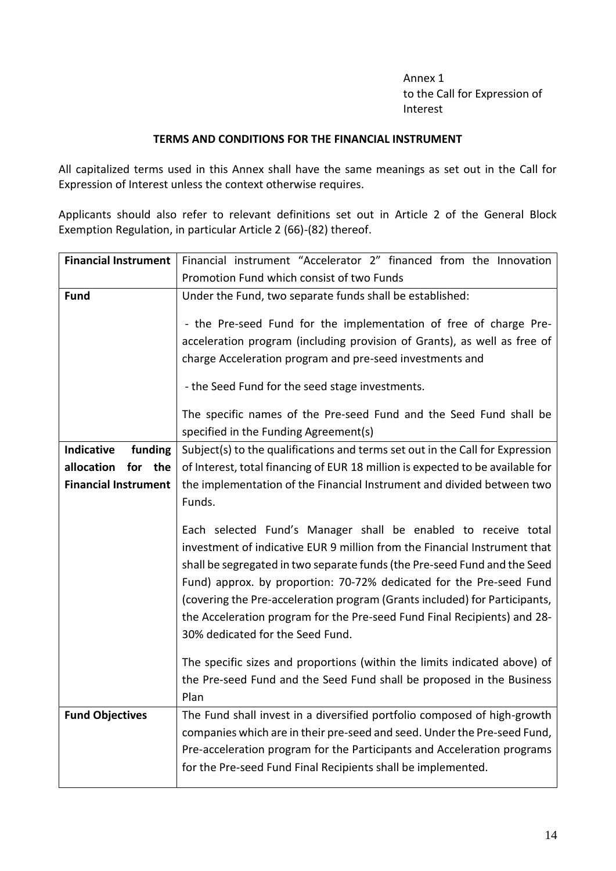Annex 1 to the Call for Expression of Interest

#### **TERMS AND CONDITIONS FOR THE FINANCIAL INSTRUMENT**

All capitalized terms used in this Annex shall have the same meanings as set out in the Call for Expression of Interest unless the context otherwise requires.

Applicants should also refer to relevant definitions set out in Article 2 of the General Block Exemption Regulation, in particular Article 2 (66)-(82) thereof.

| <b>Financial Instrument</b>  | Financial instrument "Accelerator 2" financed from the Innovation                                                                                                                                                                                                                                                                                                                                                                                                                             |  |  |
|------------------------------|-----------------------------------------------------------------------------------------------------------------------------------------------------------------------------------------------------------------------------------------------------------------------------------------------------------------------------------------------------------------------------------------------------------------------------------------------------------------------------------------------|--|--|
|                              | Promotion Fund which consist of two Funds                                                                                                                                                                                                                                                                                                                                                                                                                                                     |  |  |
| <b>Fund</b>                  | Under the Fund, two separate funds shall be established:                                                                                                                                                                                                                                                                                                                                                                                                                                      |  |  |
|                              | - the Pre-seed Fund for the implementation of free of charge Pre-                                                                                                                                                                                                                                                                                                                                                                                                                             |  |  |
|                              | acceleration program (including provision of Grants), as well as free of                                                                                                                                                                                                                                                                                                                                                                                                                      |  |  |
|                              | charge Acceleration program and pre-seed investments and                                                                                                                                                                                                                                                                                                                                                                                                                                      |  |  |
|                              |                                                                                                                                                                                                                                                                                                                                                                                                                                                                                               |  |  |
|                              | - the Seed Fund for the seed stage investments.                                                                                                                                                                                                                                                                                                                                                                                                                                               |  |  |
|                              | The specific names of the Pre-seed Fund and the Seed Fund shall be                                                                                                                                                                                                                                                                                                                                                                                                                            |  |  |
|                              | specified in the Funding Agreement(s)                                                                                                                                                                                                                                                                                                                                                                                                                                                         |  |  |
| <b>Indicative</b><br>funding | Subject(s) to the qualifications and terms set out in the Call for Expression                                                                                                                                                                                                                                                                                                                                                                                                                 |  |  |
| allocation<br>for<br>the     | of Interest, total financing of EUR 18 million is expected to be available for                                                                                                                                                                                                                                                                                                                                                                                                                |  |  |
| <b>Financial Instrument</b>  | the implementation of the Financial Instrument and divided between two                                                                                                                                                                                                                                                                                                                                                                                                                        |  |  |
|                              | Funds.                                                                                                                                                                                                                                                                                                                                                                                                                                                                                        |  |  |
|                              | Each selected Fund's Manager shall be enabled to receive total<br>investment of indicative EUR 9 million from the Financial Instrument that<br>shall be segregated in two separate funds (the Pre-seed Fund and the Seed<br>Fund) approx. by proportion: 70-72% dedicated for the Pre-seed Fund<br>(covering the Pre-acceleration program (Grants included) for Participants,<br>the Acceleration program for the Pre-seed Fund Final Recipients) and 28-<br>30% dedicated for the Seed Fund. |  |  |
|                              | The specific sizes and proportions (within the limits indicated above) of<br>the Pre-seed Fund and the Seed Fund shall be proposed in the Business<br>Plan                                                                                                                                                                                                                                                                                                                                    |  |  |
| <b>Fund Objectives</b>       | The Fund shall invest in a diversified portfolio composed of high-growth                                                                                                                                                                                                                                                                                                                                                                                                                      |  |  |
|                              | companies which are in their pre-seed and seed. Under the Pre-seed Fund,                                                                                                                                                                                                                                                                                                                                                                                                                      |  |  |
|                              | Pre-acceleration program for the Participants and Acceleration programs                                                                                                                                                                                                                                                                                                                                                                                                                       |  |  |
|                              | for the Pre-seed Fund Final Recipients shall be implemented.                                                                                                                                                                                                                                                                                                                                                                                                                                  |  |  |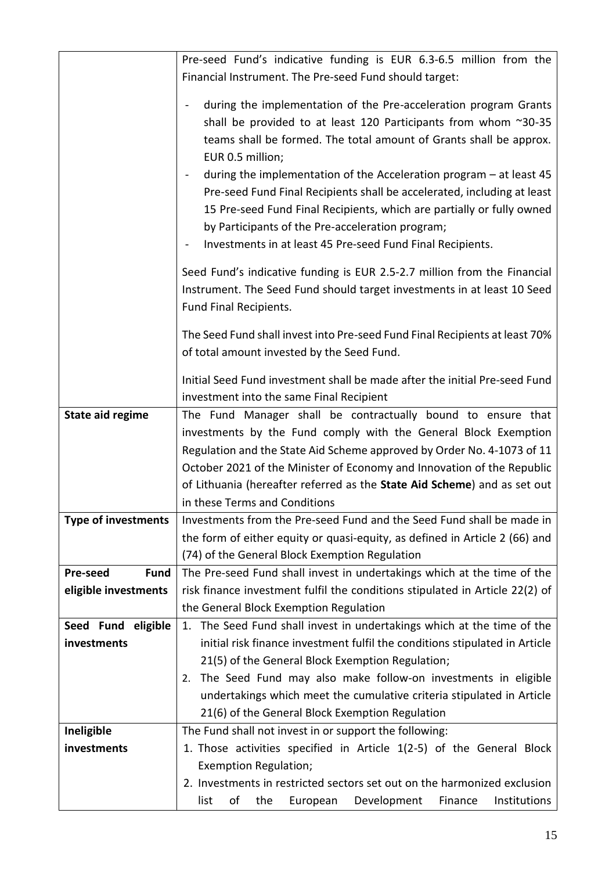|                                | Pre-seed Fund's indicative funding is EUR 6.3-6.5 million from the                                                                                 |
|--------------------------------|----------------------------------------------------------------------------------------------------------------------------------------------------|
|                                | Financial Instrument. The Pre-seed Fund should target:                                                                                             |
|                                |                                                                                                                                                    |
|                                | during the implementation of the Pre-acceleration program Grants                                                                                   |
|                                | shall be provided to at least 120 Participants from whom ~30-35                                                                                    |
|                                | teams shall be formed. The total amount of Grants shall be approx.                                                                                 |
|                                | EUR 0.5 million;                                                                                                                                   |
|                                | during the implementation of the Acceleration program $-$ at least 45                                                                              |
|                                | Pre-seed Fund Final Recipients shall be accelerated, including at least                                                                            |
|                                | 15 Pre-seed Fund Final Recipients, which are partially or fully owned                                                                              |
|                                | by Participants of the Pre-acceleration program;                                                                                                   |
|                                | Investments in at least 45 Pre-seed Fund Final Recipients.                                                                                         |
|                                | Seed Fund's indicative funding is EUR 2.5-2.7 million from the Financial                                                                           |
|                                | Instrument. The Seed Fund should target investments in at least 10 Seed                                                                            |
|                                | Fund Final Recipients.                                                                                                                             |
|                                | The Seed Fund shall invest into Pre-seed Fund Final Recipients at least 70%                                                                        |
|                                | of total amount invested by the Seed Fund.                                                                                                         |
|                                |                                                                                                                                                    |
|                                | Initial Seed Fund investment shall be made after the initial Pre-seed Fund                                                                         |
|                                | investment into the same Final Recipient                                                                                                           |
| <b>State aid regime</b>        | The Fund Manager shall be contractually bound to ensure that                                                                                       |
|                                | investments by the Fund comply with the General Block Exemption                                                                                    |
|                                | Regulation and the State Aid Scheme approved by Order No. 4-1073 of 11                                                                             |
|                                | October 2021 of the Minister of Economy and Innovation of the Republic<br>of Lithuania (hereafter referred as the State Aid Scheme) and as set out |
|                                | in these Terms and Conditions                                                                                                                      |
| <b>Type of investments</b>     | Investments from the Pre-seed Fund and the Seed Fund shall be made in                                                                              |
|                                | the form of either equity or quasi-equity, as defined in Article 2 (66) and                                                                        |
|                                | (74) of the General Block Exemption Regulation                                                                                                     |
| <b>Pre-seed</b><br><b>Fund</b> | The Pre-seed Fund shall invest in undertakings which at the time of the                                                                            |
| eligible investments           | risk finance investment fulfil the conditions stipulated in Article 22(2) of                                                                       |
|                                | the General Block Exemption Regulation                                                                                                             |
| Seed Fund eligible             | 1. The Seed Fund shall invest in undertakings which at the time of the                                                                             |
| investments                    | initial risk finance investment fulfil the conditions stipulated in Article                                                                        |
|                                | 21(5) of the General Block Exemption Regulation;                                                                                                   |
|                                | The Seed Fund may also make follow-on investments in eligible<br>2.                                                                                |
|                                | undertakings which meet the cumulative criteria stipulated in Article                                                                              |
|                                | 21(6) of the General Block Exemption Regulation                                                                                                    |
| Ineligible                     | The Fund shall not invest in or support the following:                                                                                             |
| investments                    | 1. Those activities specified in Article 1(2-5) of the General Block                                                                               |
|                                | <b>Exemption Regulation;</b>                                                                                                                       |
|                                | 2. Investments in restricted sectors set out on the harmonized exclusion                                                                           |
|                                | of<br>Institutions<br>list<br>the<br>European<br>Development<br>Finance                                                                            |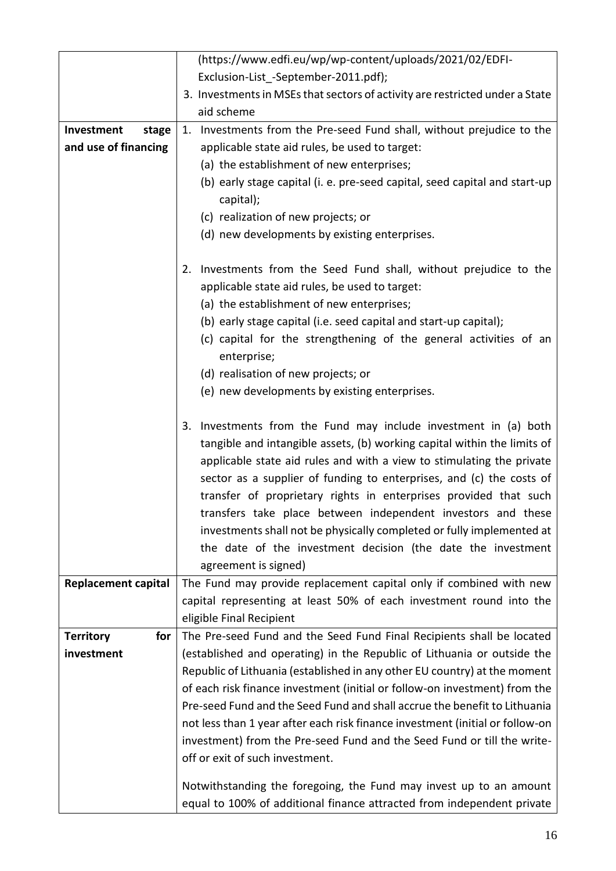|                         | (https://www.edfi.eu/wp/wp-content/uploads/2021/02/EDFI-                                                                                                                                                                                                                                                                                                                                                                                                                                                                                                                                          |
|-------------------------|---------------------------------------------------------------------------------------------------------------------------------------------------------------------------------------------------------------------------------------------------------------------------------------------------------------------------------------------------------------------------------------------------------------------------------------------------------------------------------------------------------------------------------------------------------------------------------------------------|
|                         | Exclusion-List -September-2011.pdf);                                                                                                                                                                                                                                                                                                                                                                                                                                                                                                                                                              |
|                         | 3. Investments in MSEs that sectors of activity are restricted under a State                                                                                                                                                                                                                                                                                                                                                                                                                                                                                                                      |
|                         | aid scheme                                                                                                                                                                                                                                                                                                                                                                                                                                                                                                                                                                                        |
| Investment<br>stage     | 1. Investments from the Pre-seed Fund shall, without prejudice to the                                                                                                                                                                                                                                                                                                                                                                                                                                                                                                                             |
| and use of financing    | applicable state aid rules, be used to target:                                                                                                                                                                                                                                                                                                                                                                                                                                                                                                                                                    |
|                         | (a) the establishment of new enterprises;                                                                                                                                                                                                                                                                                                                                                                                                                                                                                                                                                         |
|                         | (b) early stage capital (i. e. pre-seed capital, seed capital and start-up<br>capital);                                                                                                                                                                                                                                                                                                                                                                                                                                                                                                           |
|                         | (c) realization of new projects; or                                                                                                                                                                                                                                                                                                                                                                                                                                                                                                                                                               |
|                         | (d) new developments by existing enterprises.                                                                                                                                                                                                                                                                                                                                                                                                                                                                                                                                                     |
|                         | 2. Investments from the Seed Fund shall, without prejudice to the                                                                                                                                                                                                                                                                                                                                                                                                                                                                                                                                 |
|                         | applicable state aid rules, be used to target:                                                                                                                                                                                                                                                                                                                                                                                                                                                                                                                                                    |
|                         | (a) the establishment of new enterprises;                                                                                                                                                                                                                                                                                                                                                                                                                                                                                                                                                         |
|                         | (b) early stage capital (i.e. seed capital and start-up capital);                                                                                                                                                                                                                                                                                                                                                                                                                                                                                                                                 |
|                         | (c) capital for the strengthening of the general activities of an<br>enterprise;                                                                                                                                                                                                                                                                                                                                                                                                                                                                                                                  |
|                         | (d) realisation of new projects; or                                                                                                                                                                                                                                                                                                                                                                                                                                                                                                                                                               |
|                         | (e) new developments by existing enterprises.                                                                                                                                                                                                                                                                                                                                                                                                                                                                                                                                                     |
|                         | 3. Investments from the Fund may include investment in (a) both<br>tangible and intangible assets, (b) working capital within the limits of<br>applicable state aid rules and with a view to stimulating the private<br>sector as a supplier of funding to enterprises, and (c) the costs of<br>transfer of proprietary rights in enterprises provided that such<br>transfers take place between independent investors and these<br>investments shall not be physically completed or fully implemented at<br>the date of the investment decision (the date the investment<br>agreement is signed) |
| Replacement capital     | The Fund may provide replacement capital only if combined with new                                                                                                                                                                                                                                                                                                                                                                                                                                                                                                                                |
|                         | capital representing at least 50% of each investment round into the                                                                                                                                                                                                                                                                                                                                                                                                                                                                                                                               |
|                         | eligible Final Recipient                                                                                                                                                                                                                                                                                                                                                                                                                                                                                                                                                                          |
| <b>Territory</b><br>for | The Pre-seed Fund and the Seed Fund Final Recipients shall be located                                                                                                                                                                                                                                                                                                                                                                                                                                                                                                                             |
| investment              | (established and operating) in the Republic of Lithuania or outside the                                                                                                                                                                                                                                                                                                                                                                                                                                                                                                                           |
|                         | Republic of Lithuania (established in any other EU country) at the moment                                                                                                                                                                                                                                                                                                                                                                                                                                                                                                                         |
|                         | of each risk finance investment (initial or follow-on investment) from the                                                                                                                                                                                                                                                                                                                                                                                                                                                                                                                        |
|                         | Pre-seed Fund and the Seed Fund and shall accrue the benefit to Lithuania                                                                                                                                                                                                                                                                                                                                                                                                                                                                                                                         |
|                         | not less than 1 year after each risk finance investment (initial or follow-on                                                                                                                                                                                                                                                                                                                                                                                                                                                                                                                     |
|                         | investment) from the Pre-seed Fund and the Seed Fund or till the write-                                                                                                                                                                                                                                                                                                                                                                                                                                                                                                                           |
|                         | off or exit of such investment.                                                                                                                                                                                                                                                                                                                                                                                                                                                                                                                                                                   |
|                         | Notwithstanding the foregoing, the Fund may invest up to an amount                                                                                                                                                                                                                                                                                                                                                                                                                                                                                                                                |
|                         | equal to 100% of additional finance attracted from independent private                                                                                                                                                                                                                                                                                                                                                                                                                                                                                                                            |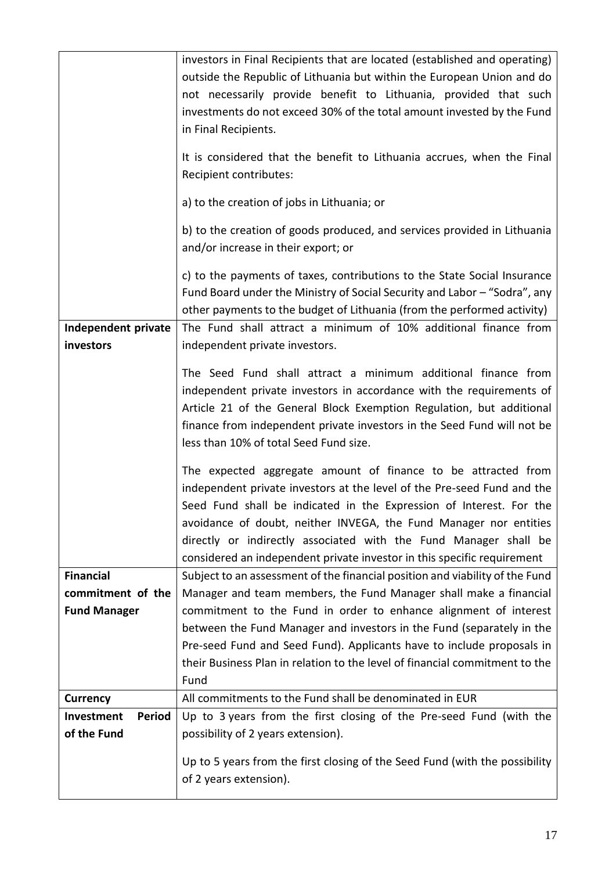|                             | investors in Final Recipients that are located (established and operating)   |
|-----------------------------|------------------------------------------------------------------------------|
|                             | outside the Republic of Lithuania but within the European Union and do       |
|                             | not necessarily provide benefit to Lithuania, provided that such             |
|                             | investments do not exceed 30% of the total amount invested by the Fund       |
|                             | in Final Recipients.                                                         |
|                             |                                                                              |
|                             | It is considered that the benefit to Lithuania accrues, when the Final       |
|                             | Recipient contributes:                                                       |
|                             | a) to the creation of jobs in Lithuania; or                                  |
|                             | b) to the creation of goods produced, and services provided in Lithuania     |
|                             | and/or increase in their export; or                                          |
|                             |                                                                              |
|                             | c) to the payments of taxes, contributions to the State Social Insurance     |
|                             | Fund Board under the Ministry of Social Security and Labor - "Sodra", any    |
|                             | other payments to the budget of Lithuania (from the performed activity)      |
| Independent private         | The Fund shall attract a minimum of 10% additional finance from              |
| investors                   | independent private investors.                                               |
|                             | The Seed Fund shall attract a minimum additional finance from                |
|                             | independent private investors in accordance with the requirements of         |
|                             | Article 21 of the General Block Exemption Regulation, but additional         |
|                             | finance from independent private investors in the Seed Fund will not be      |
|                             | less than 10% of total Seed Fund size.                                       |
|                             |                                                                              |
|                             | The expected aggregate amount of finance to be attracted from                |
|                             | independent private investors at the level of the Pre-seed Fund and the      |
|                             | Seed Fund shall be indicated in the Expression of Interest. For the          |
|                             | avoidance of doubt, neither INVEGA, the Fund Manager nor entities            |
|                             | directly or indirectly associated with the Fund Manager shall be             |
|                             | considered an independent private investor in this specific requirement      |
| <b>Financial</b>            | Subject to an assessment of the financial position and viability of the Fund |
| commitment of the           | Manager and team members, the Fund Manager shall make a financial            |
| <b>Fund Manager</b>         | commitment to the Fund in order to enhance alignment of interest             |
|                             | between the Fund Manager and investors in the Fund (separately in the        |
|                             | Pre-seed Fund and Seed Fund). Applicants have to include proposals in        |
|                             | their Business Plan in relation to the level of financial commitment to the  |
|                             | Fund                                                                         |
| <b>Currency</b>             | All commitments to the Fund shall be denominated in EUR                      |
| Investment<br><b>Period</b> | Up to 3 years from the first closing of the Pre-seed Fund (with the          |
| of the Fund                 | possibility of 2 years extension).                                           |
|                             |                                                                              |
|                             | Up to 5 years from the first closing of the Seed Fund (with the possibility  |
|                             | of 2 years extension).                                                       |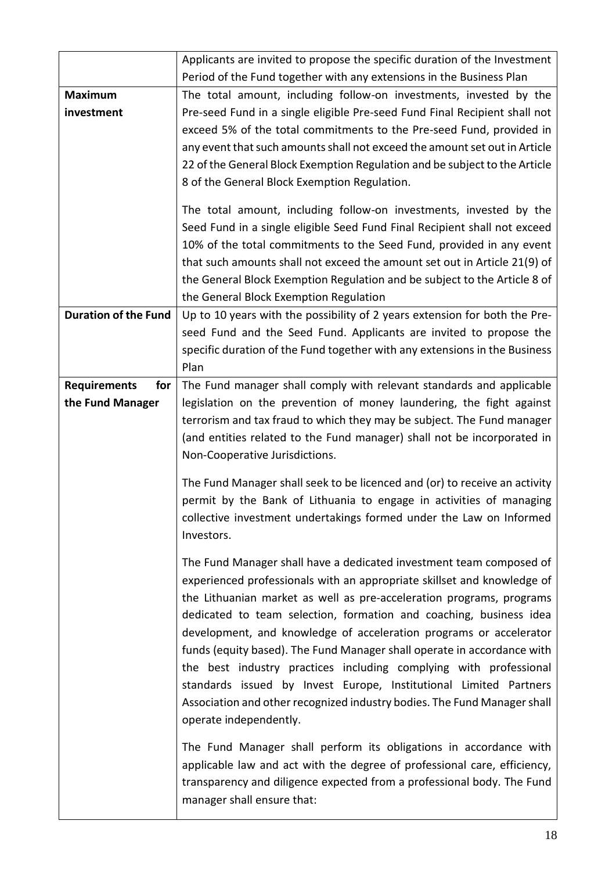|                             | Applicants are invited to propose the specific duration of the Investment  |  |  |  |
|-----------------------------|----------------------------------------------------------------------------|--|--|--|
|                             | Period of the Fund together with any extensions in the Business Plan       |  |  |  |
| <b>Maximum</b>              | The total amount, including follow-on investments, invested by the         |  |  |  |
| investment                  | Pre-seed Fund in a single eligible Pre-seed Fund Final Recipient shall not |  |  |  |
|                             | exceed 5% of the total commitments to the Pre-seed Fund, provided in       |  |  |  |
|                             | any event that such amounts shall not exceed the amount set out in Article |  |  |  |
|                             | 22 of the General Block Exemption Regulation and be subject to the Article |  |  |  |
|                             | 8 of the General Block Exemption Regulation.                               |  |  |  |
|                             | The total amount, including follow-on investments, invested by the         |  |  |  |
|                             | Seed Fund in a single eligible Seed Fund Final Recipient shall not exceed  |  |  |  |
|                             | 10% of the total commitments to the Seed Fund, provided in any event       |  |  |  |
|                             | that such amounts shall not exceed the amount set out in Article 21(9) of  |  |  |  |
|                             | the General Block Exemption Regulation and be subject to the Article 8 of  |  |  |  |
|                             | the General Block Exemption Regulation                                     |  |  |  |
| <b>Duration of the Fund</b> | Up to 10 years with the possibility of 2 years extension for both the Pre- |  |  |  |
|                             | seed Fund and the Seed Fund. Applicants are invited to propose the         |  |  |  |
|                             | specific duration of the Fund together with any extensions in the Business |  |  |  |
|                             | Plan                                                                       |  |  |  |
| <b>Requirements</b><br>for  | The Fund manager shall comply with relevant standards and applicable       |  |  |  |
| the Fund Manager            | legislation on the prevention of money laundering, the fight against       |  |  |  |
|                             | terrorism and tax fraud to which they may be subject. The Fund manager     |  |  |  |
|                             | (and entities related to the Fund manager) shall not be incorporated in    |  |  |  |
|                             | Non-Cooperative Jurisdictions.                                             |  |  |  |
|                             | The Fund Manager shall seek to be licenced and (or) to receive an activity |  |  |  |
|                             | permit by the Bank of Lithuania to engage in activities of managing        |  |  |  |
|                             | collective investment undertakings formed under the Law on Informed        |  |  |  |
|                             | Investors.                                                                 |  |  |  |
|                             | The Fund Manager shall have a dedicated investment team composed of        |  |  |  |
|                             | experienced professionals with an appropriate skillset and knowledge of    |  |  |  |
|                             | the Lithuanian market as well as pre-acceleration programs, programs       |  |  |  |
|                             | dedicated to team selection, formation and coaching, business idea         |  |  |  |
|                             | development, and knowledge of acceleration programs or accelerator         |  |  |  |
|                             | funds (equity based). The Fund Manager shall operate in accordance with    |  |  |  |
|                             | the best industry practices including complying with professional          |  |  |  |
|                             | standards issued by Invest Europe, Institutional Limited Partners          |  |  |  |
|                             | Association and other recognized industry bodies. The Fund Manager shall   |  |  |  |
|                             | operate independently.                                                     |  |  |  |
|                             | The Fund Manager shall perform its obligations in accordance with          |  |  |  |
|                             | applicable law and act with the degree of professional care, efficiency,   |  |  |  |
|                             | transparency and diligence expected from a professional body. The Fund     |  |  |  |
|                             | manager shall ensure that:                                                 |  |  |  |
|                             |                                                                            |  |  |  |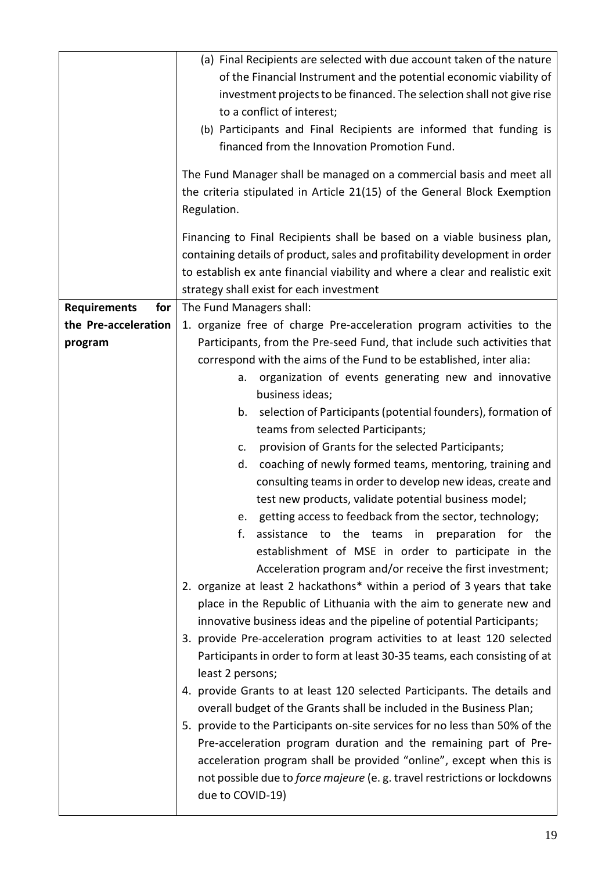|                            | (a) Final Recipients are selected with due account taken of the nature<br>of the Financial Instrument and the potential economic viability of<br>investment projects to be financed. The selection shall not give rise<br>to a conflict of interest;<br>(b) Participants and Final Recipients are informed that funding is<br>financed from the Innovation Promotion Fund.<br>The Fund Manager shall be managed on a commercial basis and meet all<br>the criteria stipulated in Article 21(15) of the General Block Exemption |  |  |
|----------------------------|--------------------------------------------------------------------------------------------------------------------------------------------------------------------------------------------------------------------------------------------------------------------------------------------------------------------------------------------------------------------------------------------------------------------------------------------------------------------------------------------------------------------------------|--|--|
|                            | Regulation.<br>Financing to Final Recipients shall be based on a viable business plan,<br>containing details of product, sales and profitability development in order<br>to establish ex ante financial viability and where a clear and realistic exit<br>strategy shall exist for each investment                                                                                                                                                                                                                             |  |  |
| <b>Requirements</b><br>for | The Fund Managers shall:                                                                                                                                                                                                                                                                                                                                                                                                                                                                                                       |  |  |
| the Pre-acceleration       | 1. organize free of charge Pre-acceleration program activities to the                                                                                                                                                                                                                                                                                                                                                                                                                                                          |  |  |
| program                    | Participants, from the Pre-seed Fund, that include such activities that                                                                                                                                                                                                                                                                                                                                                                                                                                                        |  |  |
|                            | correspond with the aims of the Fund to be established, inter alia:                                                                                                                                                                                                                                                                                                                                                                                                                                                            |  |  |
|                            | organization of events generating new and innovative<br>a.<br>business ideas;                                                                                                                                                                                                                                                                                                                                                                                                                                                  |  |  |
|                            | selection of Participants (potential founders), formation of<br>b.                                                                                                                                                                                                                                                                                                                                                                                                                                                             |  |  |
|                            | teams from selected Participants;                                                                                                                                                                                                                                                                                                                                                                                                                                                                                              |  |  |
|                            | provision of Grants for the selected Participants;<br>C.                                                                                                                                                                                                                                                                                                                                                                                                                                                                       |  |  |
|                            | d. coaching of newly formed teams, mentoring, training and                                                                                                                                                                                                                                                                                                                                                                                                                                                                     |  |  |
|                            | consulting teams in order to develop new ideas, create and                                                                                                                                                                                                                                                                                                                                                                                                                                                                     |  |  |
|                            | test new products, validate potential business model;                                                                                                                                                                                                                                                                                                                                                                                                                                                                          |  |  |
|                            | e. getting access to feedback from the sector, technology;                                                                                                                                                                                                                                                                                                                                                                                                                                                                     |  |  |
|                            | f.<br>assistance to the teams in preparation for the                                                                                                                                                                                                                                                                                                                                                                                                                                                                           |  |  |
|                            | establishment of MSE in order to participate in the                                                                                                                                                                                                                                                                                                                                                                                                                                                                            |  |  |
|                            | Acceleration program and/or receive the first investment;                                                                                                                                                                                                                                                                                                                                                                                                                                                                      |  |  |
|                            | 2. organize at least 2 hackathons* within a period of 3 years that take                                                                                                                                                                                                                                                                                                                                                                                                                                                        |  |  |
|                            | place in the Republic of Lithuania with the aim to generate new and                                                                                                                                                                                                                                                                                                                                                                                                                                                            |  |  |
|                            | innovative business ideas and the pipeline of potential Participants;<br>3. provide Pre-acceleration program activities to at least 120 selected                                                                                                                                                                                                                                                                                                                                                                               |  |  |
|                            | Participants in order to form at least 30-35 teams, each consisting of at                                                                                                                                                                                                                                                                                                                                                                                                                                                      |  |  |
|                            | least 2 persons;                                                                                                                                                                                                                                                                                                                                                                                                                                                                                                               |  |  |
|                            | 4. provide Grants to at least 120 selected Participants. The details and                                                                                                                                                                                                                                                                                                                                                                                                                                                       |  |  |
|                            | overall budget of the Grants shall be included in the Business Plan;<br>5. provide to the Participants on-site services for no less than 50% of the                                                                                                                                                                                                                                                                                                                                                                            |  |  |
|                            | Pre-acceleration program duration and the remaining part of Pre-<br>acceleration program shall be provided "online", except when this is                                                                                                                                                                                                                                                                                                                                                                                       |  |  |
|                            | not possible due to <i>force majeure</i> (e.g. travel restrictions or lockdowns<br>due to COVID-19)                                                                                                                                                                                                                                                                                                                                                                                                                            |  |  |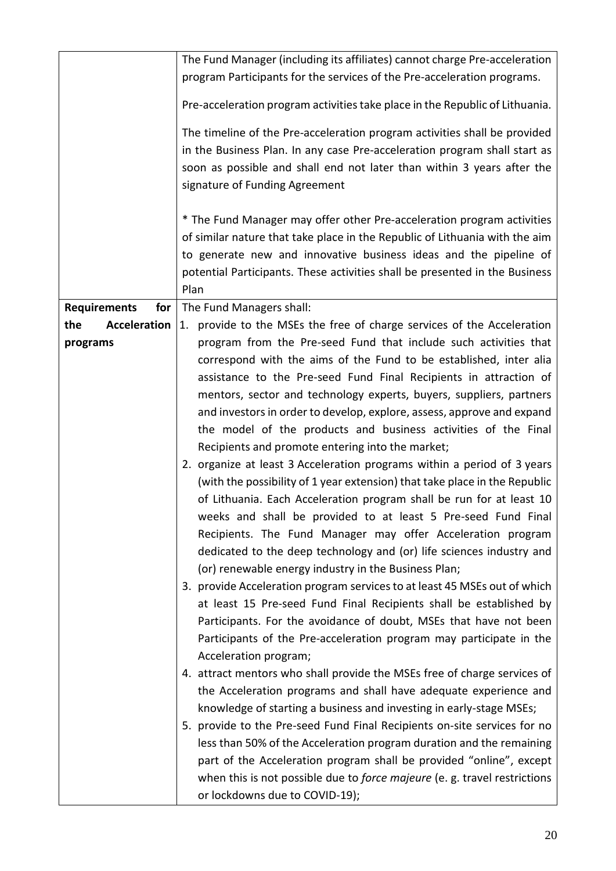|                                                                           | The Fund Manager (including its affiliates) cannot charge Pre-acceleration   |  |
|---------------------------------------------------------------------------|------------------------------------------------------------------------------|--|
|                                                                           | program Participants for the services of the Pre-acceleration programs.      |  |
|                                                                           |                                                                              |  |
|                                                                           | Pre-acceleration program activities take place in the Republic of Lithuania. |  |
|                                                                           | The timeline of the Pre-acceleration program activities shall be provided    |  |
|                                                                           | in the Business Plan. In any case Pre-acceleration program shall start as    |  |
|                                                                           | soon as possible and shall end not later than within 3 years after the       |  |
|                                                                           | signature of Funding Agreement                                               |  |
|                                                                           |                                                                              |  |
|                                                                           | * The Fund Manager may offer other Pre-acceleration program activities       |  |
|                                                                           | of similar nature that take place in the Republic of Lithuania with the aim  |  |
|                                                                           | to generate new and innovative business ideas and the pipeline of            |  |
|                                                                           | potential Participants. These activities shall be presented in the Business  |  |
|                                                                           | Plan                                                                         |  |
| <b>Requirements</b><br>for                                                | The Fund Managers shall:                                                     |  |
| <b>Acceleration</b><br>the                                                | provide to the MSEs the free of charge services of the Acceleration<br>1.    |  |
|                                                                           | program from the Pre-seed Fund that include such activities that             |  |
| programs                                                                  | correspond with the aims of the Fund to be established, inter alia           |  |
|                                                                           |                                                                              |  |
|                                                                           | assistance to the Pre-seed Fund Final Recipients in attraction of            |  |
|                                                                           | mentors, sector and technology experts, buyers, suppliers, partners          |  |
|                                                                           | and investors in order to develop, explore, assess, approve and expand       |  |
|                                                                           | the model of the products and business activities of the Final               |  |
|                                                                           | Recipients and promote entering into the market;                             |  |
|                                                                           | 2. organize at least 3 Acceleration programs within a period of 3 years      |  |
|                                                                           | (with the possibility of 1 year extension) that take place in the Republic   |  |
|                                                                           | of Lithuania. Each Acceleration program shall be run for at least 10         |  |
|                                                                           | weeks and shall be provided to at least 5 Pre-seed Fund Final                |  |
|                                                                           | Recipients. The Fund Manager may offer Acceleration program                  |  |
|                                                                           | dedicated to the deep technology and (or) life sciences industry and         |  |
|                                                                           | (or) renewable energy industry in the Business Plan;                         |  |
| 3. provide Acceleration program services to at least 45 MSEs out of which |                                                                              |  |
|                                                                           | at least 15 Pre-seed Fund Final Recipients shall be established by           |  |
| Participants. For the avoidance of doubt, MSEs that have not been         |                                                                              |  |
|                                                                           | Participants of the Pre-acceleration program may participate in the          |  |
|                                                                           | Acceleration program;                                                        |  |
|                                                                           | 4. attract mentors who shall provide the MSEs free of charge services of     |  |
|                                                                           | the Acceleration programs and shall have adequate experience and             |  |
|                                                                           | knowledge of starting a business and investing in early-stage MSEs;          |  |
|                                                                           | 5. provide to the Pre-seed Fund Final Recipients on-site services for no     |  |
|                                                                           | less than 50% of the Acceleration program duration and the remaining         |  |
|                                                                           | part of the Acceleration program shall be provided "online", except          |  |
|                                                                           | when this is not possible due to force majeure (e. g. travel restrictions    |  |
|                                                                           | or lockdowns due to COVID-19);                                               |  |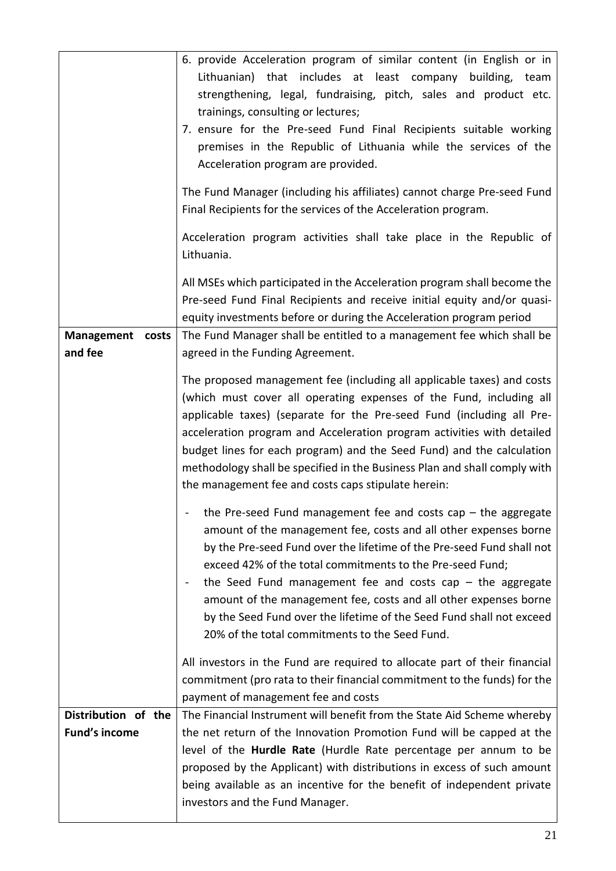|                                             | 6. provide Acceleration program of similar content (in English or in<br>Lithuanian) that includes at least company<br>building, team<br>strengthening, legal, fundraising, pitch, sales and product etc.<br>trainings, consulting or lectures;<br>7. ensure for the Pre-seed Fund Final Recipients suitable working<br>premises in the Republic of Lithuania while the services of the<br>Acceleration program are provided.<br>The Fund Manager (including his affiliates) cannot charge Pre-seed Fund<br>Final Recipients for the services of the Acceleration program.<br>Acceleration program activities shall take place in the Republic of |  |  |
|---------------------------------------------|--------------------------------------------------------------------------------------------------------------------------------------------------------------------------------------------------------------------------------------------------------------------------------------------------------------------------------------------------------------------------------------------------------------------------------------------------------------------------------------------------------------------------------------------------------------------------------------------------------------------------------------------------|--|--|
|                                             | Lithuania.<br>All MSEs which participated in the Acceleration program shall become the<br>Pre-seed Fund Final Recipients and receive initial equity and/or quasi-<br>equity investments before or during the Acceleration program period                                                                                                                                                                                                                                                                                                                                                                                                         |  |  |
| <b>Management</b><br>costs<br>and fee       | The Fund Manager shall be entitled to a management fee which shall be<br>agreed in the Funding Agreement.                                                                                                                                                                                                                                                                                                                                                                                                                                                                                                                                        |  |  |
|                                             | The proposed management fee (including all applicable taxes) and costs<br>(which must cover all operating expenses of the Fund, including all<br>applicable taxes) (separate for the Pre-seed Fund (including all Pre-<br>acceleration program and Acceleration program activities with detailed<br>budget lines for each program) and the Seed Fund) and the calculation<br>methodology shall be specified in the Business Plan and shall comply with<br>the management fee and costs caps stipulate herein:                                                                                                                                    |  |  |
|                                             | - the Pre-seed Fund management fee and costs cap - the aggregate<br>amount of the management fee, costs and all other expenses borne<br>by the Pre-seed Fund over the lifetime of the Pre-seed Fund shall not<br>exceed 42% of the total commitments to the Pre-seed Fund;<br>the Seed Fund management fee and costs cap $-$ the aggregate<br>amount of the management fee, costs and all other expenses borne<br>by the Seed Fund over the lifetime of the Seed Fund shall not exceed<br>20% of the total commitments to the Seed Fund.                                                                                                         |  |  |
|                                             | All investors in the Fund are required to allocate part of their financial<br>commitment (pro rata to their financial commitment to the funds) for the<br>payment of management fee and costs                                                                                                                                                                                                                                                                                                                                                                                                                                                    |  |  |
| Distribution of the<br><b>Fund's income</b> | The Financial Instrument will benefit from the State Aid Scheme whereby<br>the net return of the Innovation Promotion Fund will be capped at the<br>level of the Hurdle Rate (Hurdle Rate percentage per annum to be<br>proposed by the Applicant) with distributions in excess of such amount<br>being available as an incentive for the benefit of independent private<br>investors and the Fund Manager.                                                                                                                                                                                                                                      |  |  |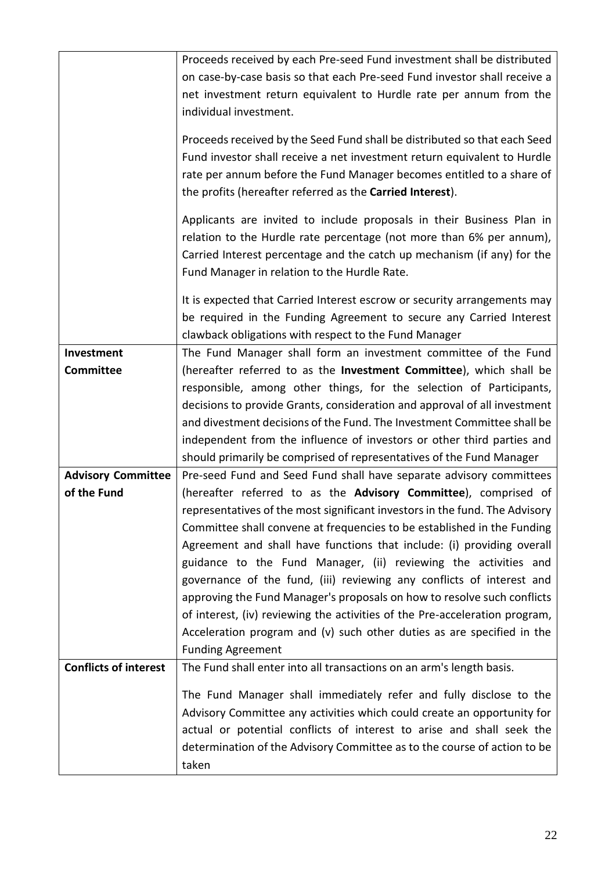|                              | Proceeds received by each Pre-seed Fund investment shall be distributed     |  |  |
|------------------------------|-----------------------------------------------------------------------------|--|--|
|                              | on case-by-case basis so that each Pre-seed Fund investor shall receive a   |  |  |
|                              | net investment return equivalent to Hurdle rate per annum from the          |  |  |
|                              | individual investment.                                                      |  |  |
|                              |                                                                             |  |  |
|                              | Proceeds received by the Seed Fund shall be distributed so that each Seed   |  |  |
|                              | Fund investor shall receive a net investment return equivalent to Hurdle    |  |  |
|                              | rate per annum before the Fund Manager becomes entitled to a share of       |  |  |
|                              | the profits (hereafter referred as the Carried Interest).                   |  |  |
|                              | Applicants are invited to include proposals in their Business Plan in       |  |  |
|                              | relation to the Hurdle rate percentage (not more than 6% per annum),        |  |  |
|                              | Carried Interest percentage and the catch up mechanism (if any) for the     |  |  |
|                              | Fund Manager in relation to the Hurdle Rate.                                |  |  |
|                              | It is expected that Carried Interest escrow or security arrangements may    |  |  |
|                              |                                                                             |  |  |
|                              | be required in the Funding Agreement to secure any Carried Interest         |  |  |
|                              | clawback obligations with respect to the Fund Manager                       |  |  |
| Investment                   | The Fund Manager shall form an investment committee of the Fund             |  |  |
| <b>Committee</b>             | (hereafter referred to as the Investment Committee), which shall be         |  |  |
|                              | responsible, among other things, for the selection of Participants,         |  |  |
|                              | decisions to provide Grants, consideration and approval of all investment   |  |  |
|                              | and divestment decisions of the Fund. The Investment Committee shall be     |  |  |
|                              | independent from the influence of investors or other third parties and      |  |  |
|                              | should primarily be comprised of representatives of the Fund Manager        |  |  |
| <b>Advisory Committee</b>    | Pre-seed Fund and Seed Fund shall have separate advisory committees         |  |  |
| of the Fund                  | (hereafter referred to as the Advisory Committee), comprised of             |  |  |
|                              | representatives of the most significant investors in the fund. The Advisory |  |  |
|                              | Committee shall convene at frequencies to be established in the Funding     |  |  |
|                              | Agreement and shall have functions that include: (i) providing overall      |  |  |
|                              | guidance to the Fund Manager, (ii) reviewing the activities and             |  |  |
|                              | governance of the fund, (iii) reviewing any conflicts of interest and       |  |  |
|                              | approving the Fund Manager's proposals on how to resolve such conflicts     |  |  |
|                              | of interest, (iv) reviewing the activities of the Pre-acceleration program, |  |  |
|                              | Acceleration program and (v) such other duties as are specified in the      |  |  |
|                              | <b>Funding Agreement</b>                                                    |  |  |
| <b>Conflicts of interest</b> | The Fund shall enter into all transactions on an arm's length basis.        |  |  |
|                              |                                                                             |  |  |
|                              | The Fund Manager shall immediately refer and fully disclose to the          |  |  |
|                              | Advisory Committee any activities which could create an opportunity for     |  |  |
|                              | actual or potential conflicts of interest to arise and shall seek the       |  |  |
|                              | determination of the Advisory Committee as to the course of action to be    |  |  |
|                              | taken                                                                       |  |  |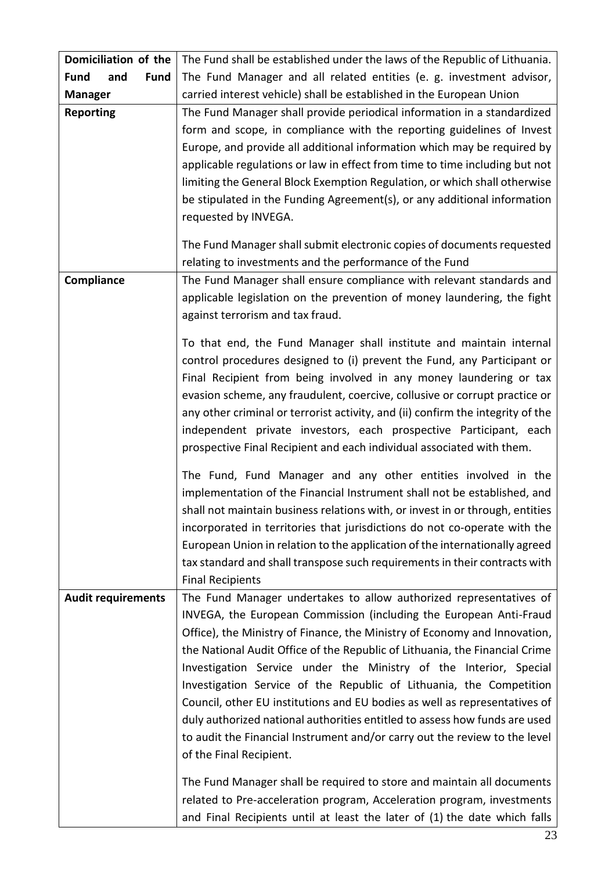| Domiciliation of the              | The Fund shall be established under the laws of the Republic of Lithuania.                            |  |  |  |
|-----------------------------------|-------------------------------------------------------------------------------------------------------|--|--|--|
| <b>Fund</b><br>and<br><b>Fund</b> | The Fund Manager and all related entities (e. g. investment advisor,                                  |  |  |  |
| <b>Manager</b>                    | carried interest vehicle) shall be established in the European Union                                  |  |  |  |
| <b>Reporting</b>                  | The Fund Manager shall provide periodical information in a standardized                               |  |  |  |
|                                   | form and scope, in compliance with the reporting guidelines of Invest                                 |  |  |  |
|                                   | Europe, and provide all additional information which may be required by                               |  |  |  |
|                                   | applicable regulations or law in effect from time to time including but not                           |  |  |  |
|                                   | limiting the General Block Exemption Regulation, or which shall otherwise                             |  |  |  |
|                                   | be stipulated in the Funding Agreement(s), or any additional information                              |  |  |  |
|                                   | requested by INVEGA.                                                                                  |  |  |  |
|                                   |                                                                                                       |  |  |  |
|                                   | The Fund Manager shall submit electronic copies of documents requested                                |  |  |  |
|                                   | relating to investments and the performance of the Fund                                               |  |  |  |
| Compliance                        | The Fund Manager shall ensure compliance with relevant standards and                                  |  |  |  |
|                                   | applicable legislation on the prevention of money laundering, the fight                               |  |  |  |
|                                   | against terrorism and tax fraud.                                                                      |  |  |  |
|                                   | To that end, the Fund Manager shall institute and maintain internal                                   |  |  |  |
|                                   | control procedures designed to (i) prevent the Fund, any Participant or                               |  |  |  |
|                                   | Final Recipient from being involved in any money laundering or tax                                    |  |  |  |
|                                   | evasion scheme, any fraudulent, coercive, collusive or corrupt practice or                            |  |  |  |
|                                   | any other criminal or terrorist activity, and (ii) confirm the integrity of the                       |  |  |  |
|                                   | independent private investors, each prospective Participant, each                                     |  |  |  |
|                                   | prospective Final Recipient and each individual associated with them.                                 |  |  |  |
|                                   |                                                                                                       |  |  |  |
|                                   | The Fund, Fund Manager and any other entities involved in the                                         |  |  |  |
|                                   | implementation of the Financial Instrument shall not be established, and                              |  |  |  |
|                                   | shall not maintain business relations with, or invest in or through, entities                         |  |  |  |
|                                   | incorporated in territories that jurisdictions do not co-operate with the                             |  |  |  |
|                                   | European Union in relation to the application of the internationally agreed                           |  |  |  |
|                                   | tax standard and shall transpose such requirements in their contracts with                            |  |  |  |
|                                   | <b>Final Recipients</b>                                                                               |  |  |  |
| <b>Audit requirements</b>         | The Fund Manager undertakes to allow authorized representatives of                                    |  |  |  |
|                                   | INVEGA, the European Commission (including the European Anti-Fraud                                    |  |  |  |
|                                   | Office), the Ministry of Finance, the Ministry of Economy and Innovation,                             |  |  |  |
|                                   | the National Audit Office of the Republic of Lithuania, the Financial Crime                           |  |  |  |
|                                   | Investigation Service under the Ministry of the Interior, Special                                     |  |  |  |
|                                   | Investigation Service of the Republic of Lithuania, the Competition                                   |  |  |  |
|                                   | Council, other EU institutions and EU bodies as well as representatives of                            |  |  |  |
|                                   | duly authorized national authorities entitled to assess how funds are used                            |  |  |  |
|                                   | to audit the Financial Instrument and/or carry out the review to the level<br>of the Final Recipient. |  |  |  |
|                                   | The Fund Manager shall be required to store and maintain all documents                                |  |  |  |
|                                   | related to Pre-acceleration program, Acceleration program, investments                                |  |  |  |
|                                   | and Final Recipients until at least the later of (1) the date which falls                             |  |  |  |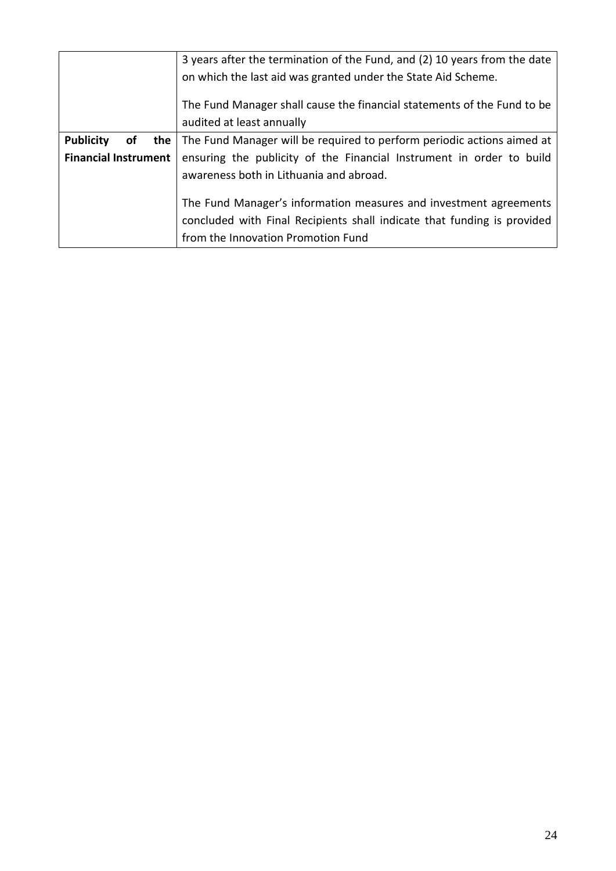|                                                                   | 3 years after the termination of the Fund, and (2) 10 years from the date         |  |  |
|-------------------------------------------------------------------|-----------------------------------------------------------------------------------|--|--|
|                                                                   | on which the last aid was granted under the State Aid Scheme.                     |  |  |
|                                                                   | The Fund Manager shall cause the financial statements of the Fund to be           |  |  |
|                                                                   | audited at least annually                                                         |  |  |
| <b>Publicity</b><br>οf                                            | <b>the</b> The Fund Manager will be required to perform periodic actions aimed at |  |  |
| <b>Financial Instrument</b>                                       | ensuring the publicity of the Financial Instrument in order to build              |  |  |
|                                                                   | awareness both in Lithuania and abroad.                                           |  |  |
| The Fund Manager's information measures and investment agreements |                                                                                   |  |  |
|                                                                   | concluded with Final Recipients shall indicate that funding is provided           |  |  |
|                                                                   | from the Innovation Promotion Fund                                                |  |  |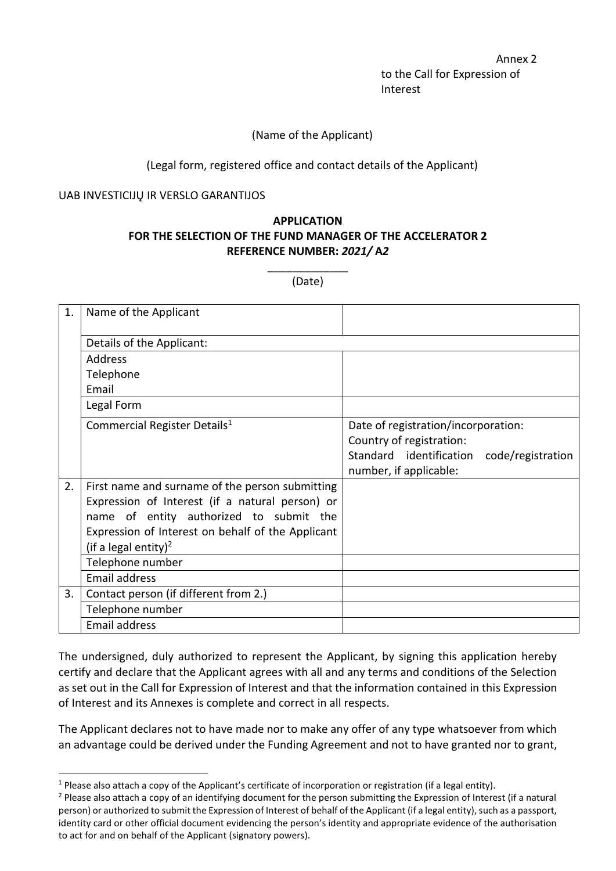Annex 2 to the Call for Expression of Interest

### (Name of the Applicant)

### (Legal form, registered office and contact details of the Applicant)

#### UAB INVESTICIJŲ IR VERSLO GARANTIJOS

# **APPLICATION FOR THE SELECTION OF THE FUND MANAGER OF THE ACCELERATOR 2 REFERENCE NUMBER:** *2021/* **A***2*

\_\_\_\_\_\_\_\_\_\_\_\_\_ (Date)

| 1. | Name of the Applicant                             |                                                                     |
|----|---------------------------------------------------|---------------------------------------------------------------------|
|    | Details of the Applicant:                         |                                                                     |
|    | <b>Address</b>                                    |                                                                     |
|    | Telephone                                         |                                                                     |
|    | Email                                             |                                                                     |
|    | Legal Form                                        |                                                                     |
|    | Commercial Register Details <sup>1</sup>          | Date of registration/incorporation:<br>Country of registration:     |
|    |                                                   | Standard identification code/registration<br>number, if applicable: |
| 2. | First name and surname of the person submitting   |                                                                     |
|    | Expression of Interest (if a natural person) or   |                                                                     |
|    | name of entity authorized to submit the           |                                                                     |
|    | Expression of Interest on behalf of the Applicant |                                                                     |
|    | (if a legal entity) <sup>2</sup>                  |                                                                     |
|    | Telephone number                                  |                                                                     |
|    | <b>Email address</b>                              |                                                                     |
| 3. | Contact person (if different from 2.)             |                                                                     |
|    | Telephone number                                  |                                                                     |
|    | <b>Email address</b>                              |                                                                     |

The undersigned, duly authorized to represent the Applicant, by signing this application hereby certify and declare that the Applicant agrees with all and any terms and conditions of the Selection as set out in the Call for Expression of Interest and that the information contained in this Expression of Interest and its Annexes is complete and correct in all respects.

The Applicant declares not to have made nor to make any offer of any type whatsoever from which an advantage could be derived under the Funding Agreement and not to have granted nor to grant,

<sup>1</sup> Please also attach a copy of the Applicant's certificate of incorporation or registration (if a legal entity).

<sup>&</sup>lt;sup>2</sup> Please also attach a copy of an identifying document for the person submitting the Expression of Interest (if a natural person) or authorized to submit the Expression of Interest of behalf of the Applicant (if a legal entity), such as a passport, identity card or other official document evidencing the person's identity and appropriate evidence of the authorisation to act for and on behalf of the Applicant (signatory powers).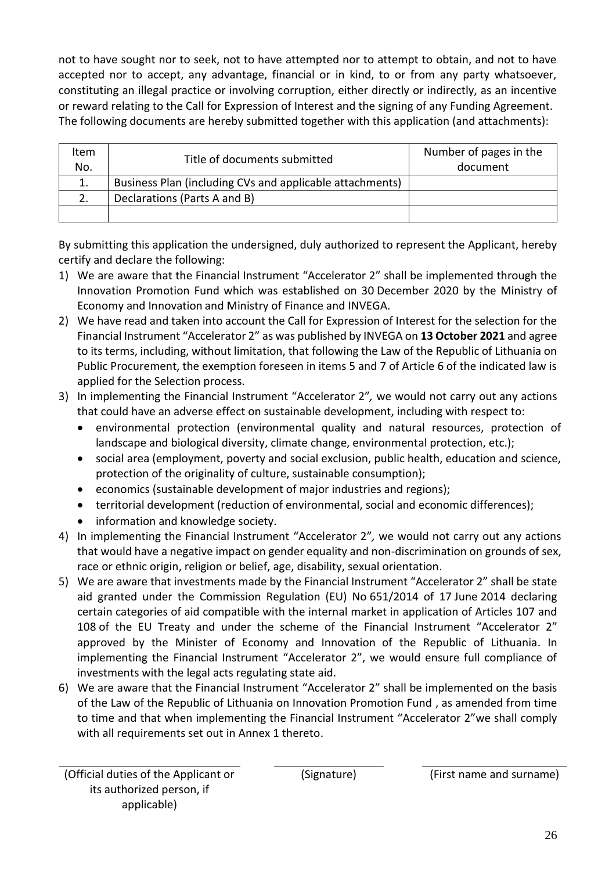not to have sought nor to seek, not to have attempted nor to attempt to obtain, and not to have accepted nor to accept, any advantage, financial or in kind, to or from any party whatsoever, constituting an illegal practice or involving corruption, either directly or indirectly, as an incentive or reward relating to the Call for Expression of Interest and the signing of any Funding Agreement. The following documents are hereby submitted together with this application (and attachments):

| ltem<br>No. | Title of documents submitted                             | Number of pages in the<br>document |
|-------------|----------------------------------------------------------|------------------------------------|
|             | Business Plan (including CVs and applicable attachments) |                                    |
|             | Declarations (Parts A and B)                             |                                    |
|             |                                                          |                                    |

By submitting this application the undersigned, duly authorized to represent the Applicant, hereby certify and declare the following:

- 1) We are aware that the Financial Instrument "Accelerator 2" shall be implemented through the Innovation Promotion Fund which was established on 30 December 2020 by the Ministry of Economy and Innovation and Ministry of Finance and INVEGA.
- 2) We have read and taken into account the Call for Expression of Interest for the selection for the Financial Instrument "Accelerator 2" as was published by INVEGA on **13 October 2021** and agree to its terms, including, without limitation, that following the Law of the Republic of Lithuania on Public Procurement, the exemption foreseen in items 5 and 7 of Article 6 of the indicated law is applied for the Selection process.
- 3) In implementing the Financial Instrument "Accelerator 2"*,* we would not carry out any actions that could have an adverse effect on sustainable development, including with respect to:
	- environmental protection (environmental quality and natural resources, protection of landscape and biological diversity, climate change, environmental protection, etc.);
	- social area (employment, poverty and social exclusion, public health, education and science, protection of the originality of culture, sustainable consumption);
	- economics (sustainable development of major industries and regions);
	- territorial development (reduction of environmental, social and economic differences);
	- information and knowledge society.
- 4) In implementing the Financial Instrument "Accelerator 2"*,* we would not carry out any actions that would have a negative impact on gender equality and non-discrimination on grounds of sex, race or ethnic origin, religion or belief, age, disability, sexual orientation.
- 5) We are aware that investments made by the Financial Instrument "Accelerator 2" shall be state aid granted under the Commission Regulation (EU) No 651/2014 of 17 June 2014 declaring certain categories of aid compatible with the internal market in application of Articles 107 and 108 of the EU Treaty and under the scheme of the Financial Instrument "Accelerator 2" approved by the Minister of Economy and Innovation of the Republic of Lithuania. In implementing the Financial Instrument "Accelerator 2", we would ensure full compliance of investments with the legal acts regulating state aid.
- 6) We are aware that the Financial Instrument "Accelerator 2" shall be implemented on the basis of the Law of the Republic of Lithuania on Innovation Promotion Fund , as amended from time to time and that when implementing the Financial Instrument "Accelerator 2"we shall comply with all requirements set out in Annex 1 thereto.

(Signature) (First name and surname)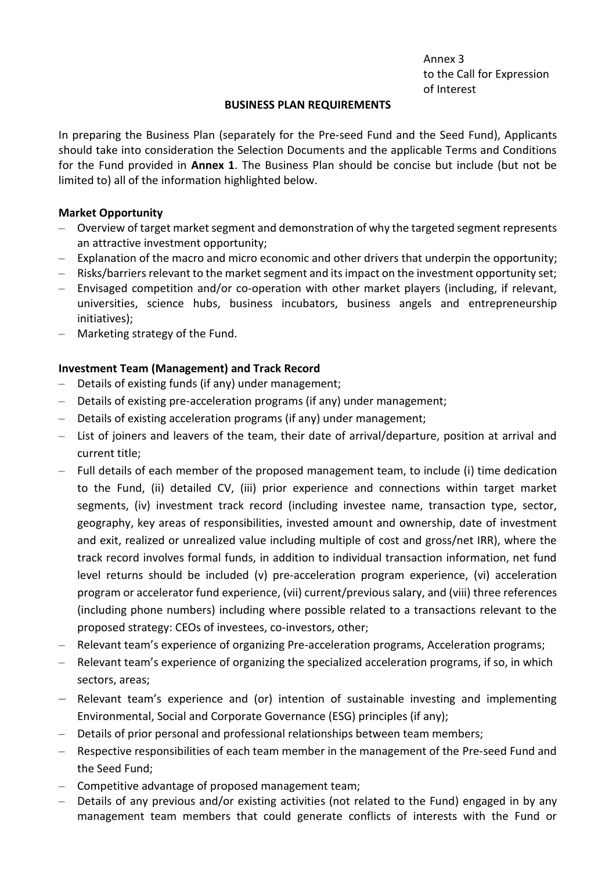Annex 3 to the Call for Expression of Interest

#### **BUSINESS PLAN REQUIREMENTS**

In preparing the Business Plan (separately for the Pre-seed Fund and the Seed Fund), Applicants should take into consideration the Selection Documents and the applicable Terms and Conditions for the Fund provided in **Annex 1**. The Business Plan should be concise but include (but not be limited to) all of the information highlighted below.

#### **Market Opportunity**

- Overview of target market segment and demonstration of why the targeted segment represents an attractive investment opportunity;
- Explanation of the macro and micro economic and other drivers that underpin the opportunity;
- Risks/barriers relevant to the market segment and its impact on the investment opportunity set;
- Envisaged competition and/or co-operation with other market players (including, if relevant, universities, science hubs, business incubators, business angels and entrepreneurship initiatives);
- Marketing strategy of the Fund.

#### **Investment Team (Management) and Track Record**

- Details of existing funds (if any) under management;
- Details of existing pre-acceleration programs (if any) under management;
- Details of existing acceleration programs (if any) under management;
- List of joiners and leavers of the team, their date of arrival/departure, position at arrival and current title;
- Full details of each member of the proposed management team, to include (i) time dedication to the Fund, (ii) detailed CV, (iii) prior experience and connections within target market segments, (iv) investment track record (including investee name, transaction type, sector, geography, key areas of responsibilities, invested amount and ownership, date of investment and exit, realized or unrealized value including multiple of cost and gross/net IRR), where the track record involves formal funds, in addition to individual transaction information, net fund level returns should be included (v) pre-acceleration program experience, (vi) acceleration program or accelerator fund experience, (vii) current/previous salary, and (viii) three references (including phone numbers) including where possible related to a transactions relevant to the proposed strategy: CEOs of investees, co-investors, other;
- Relevant team's experience of organizing Pre-acceleration programs, Acceleration programs;
- Relevant team's experience of organizing the specialized acceleration programs, if so, in which sectors, areas;
- Relevant team's experience and (or) intention of sustainable investing and implementing Environmental, Social and Corporate Governance (ESG) principles (if any);
- Details of prior personal and professional relationships between team members;
- Respective responsibilities of each team member in the management of the Pre-seed Fund and the Seed Fund;
- Competitive advantage of proposed management team;
- Details of any previous and/or existing activities (not related to the Fund) engaged in by any management team members that could generate conflicts of interests with the Fund or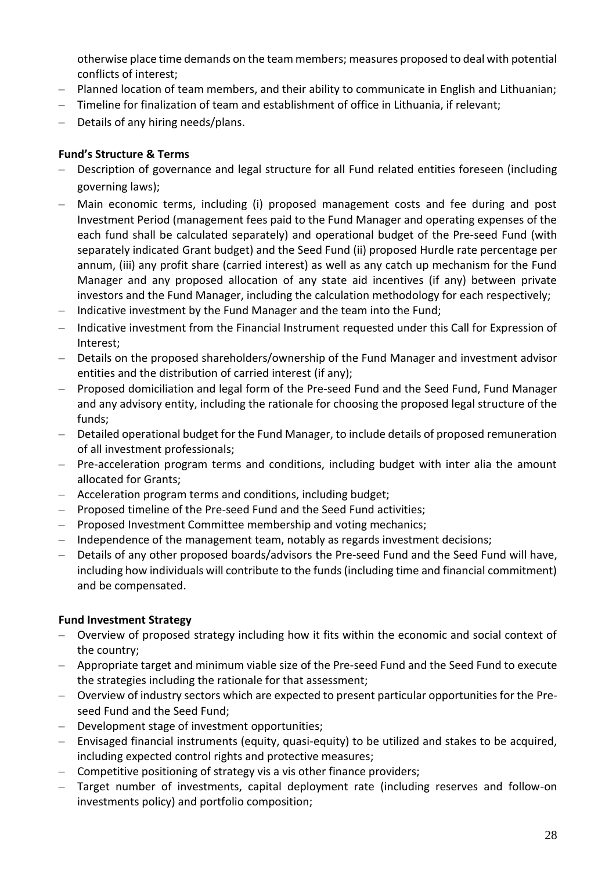otherwise place time demands on the team members; measures proposed to deal with potential conflicts of interest;

- Planned location of team members, and their ability to communicate in English and Lithuanian;
- Timeline for finalization of team and establishment of office in Lithuania, if relevant;
- Details of any hiring needs/plans.

# **Fund's Structure & Terms**

- Description of governance and legal structure for all Fund related entities foreseen (including governing laws);
- Main economic terms, including (i) proposed management costs and fee during and post Investment Period (management fees paid to the Fund Manager and operating expenses of the each fund shall be calculated separately) and operational budget of the Pre-seed Fund (with separately indicated Grant budget) and the Seed Fund (ii) proposed Hurdle rate percentage per annum, (iii) any profit share (carried interest) as well as any catch up mechanism for the Fund Manager and any proposed allocation of any state aid incentives (if any) between private investors and the Fund Manager, including the calculation methodology for each respectively;
- Indicative investment by the Fund Manager and the team into the Fund;
- Indicative investment from the Financial Instrument requested under this Call for Expression of Interest;
- Details on the proposed shareholders/ownership of the Fund Manager and investment advisor entities and the distribution of carried interest (if any);
- Proposed domiciliation and legal form of the Pre-seed Fund and the Seed Fund, Fund Manager and any advisory entity, including the rationale for choosing the proposed legal structure of the funds;
- Detailed operational budget for the Fund Manager, to include details of proposed remuneration of all investment professionals;
- Pre-acceleration program terms and conditions, including budget with inter alia the amount allocated for Grants;
- Acceleration program terms and conditions, including budget;
- Proposed timeline of the Pre-seed Fund and the Seed Fund activities;
- Proposed Investment Committee membership and voting mechanics;
- Independence of the management team, notably as regards investment decisions;
- Details of any other proposed boards/advisors the Pre-seed Fund and the Seed Fund will have, including how individuals will contribute to the funds (including time and financial commitment) and be compensated.

## **Fund Investment Strategy**

- Overview of proposed strategy including how it fits within the economic and social context of the country;
- Appropriate target and minimum viable size of the Pre-seed Fund and the Seed Fund to execute the strategies including the rationale for that assessment;
- Overview of industry sectors which are expected to present particular opportunities for the Preseed Fund and the Seed Fund;
- Development stage of investment opportunities;
- Envisaged financial instruments (equity, quasi-equity) to be utilized and stakes to be acquired, including expected control rights and protective measures;
- Competitive positioning of strategy vis a vis other finance providers;
- Target number of investments, capital deployment rate (including reserves and follow-on investments policy) and portfolio composition;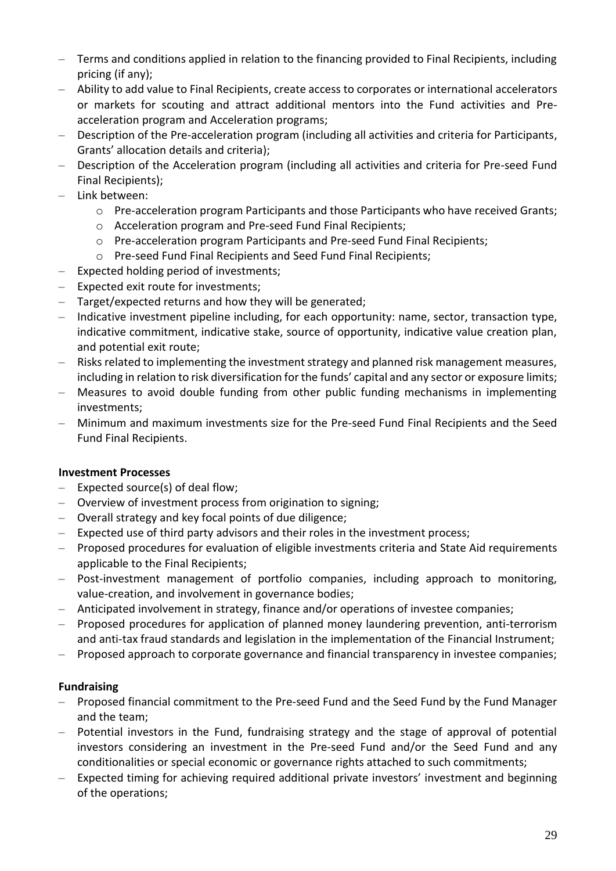- Terms and conditions applied in relation to the financing provided to Final Recipients, including pricing (if any);
- Ability to add value to Final Recipients, create access to corporates or international accelerators or markets for scouting and attract additional mentors into the Fund activities and Preacceleration program and Acceleration programs;
- Description of the Pre-acceleration program (including all activities and criteria for Participants, Grants' allocation details and criteria);
- Description of the Acceleration program (including all activities and criteria for Pre-seed Fund Final Recipients);
- Link between:
	- o Pre-acceleration program Participants and those Participants who have received Grants;
	- o Acceleration program and Pre-seed Fund Final Recipients;
	- o Pre-acceleration program Participants and Pre-seed Fund Final Recipients;
	- o Pre-seed Fund Final Recipients and Seed Fund Final Recipients;
- Expected holding period of investments;
- Expected exit route for investments;
- Target/expected returns and how they will be generated;
- Indicative investment pipeline including, for each opportunity: name, sector, transaction type, indicative commitment, indicative stake, source of opportunity, indicative value creation plan, and potential exit route;
- Risks related to implementing the investment strategy and planned risk management measures, including in relation to risk diversification for the funds' capital and any sector or exposure limits;
- Measures to avoid double funding from other public funding mechanisms in implementing investments;
- Minimum and maximum investments size for the Pre-seed Fund Final Recipients and the Seed Fund Final Recipients.

## **Investment Processes**

- $-$  Expected source(s) of deal flow;
- Overview of investment process from origination to signing;
- Overall strategy and key focal points of due diligence;
- Expected use of third party advisors and their roles in the investment process;
- Proposed procedures for evaluation of eligible investments criteria and State Aid requirements applicable to the Final Recipients;
- Post-investment management of portfolio companies, including approach to monitoring, value-creation, and involvement in governance bodies;
- Anticipated involvement in strategy, finance and/or operations of investee companies;
- Proposed procedures for application of planned money laundering prevention, anti-terrorism and anti-tax fraud standards and legislation in the implementation of the Financial Instrument;
- Proposed approach to corporate governance and financial transparency in investee companies;

# **Fundraising**

- Proposed financial commitment to the Pre-seed Fund and the Seed Fund by the Fund Manager and the team;
- Potential investors in the Fund, fundraising strategy and the stage of approval of potential investors considering an investment in the Pre-seed Fund and/or the Seed Fund and any conditionalities or special economic or governance rights attached to such commitments;
- Expected timing for achieving required additional private investors' investment and beginning of the operations;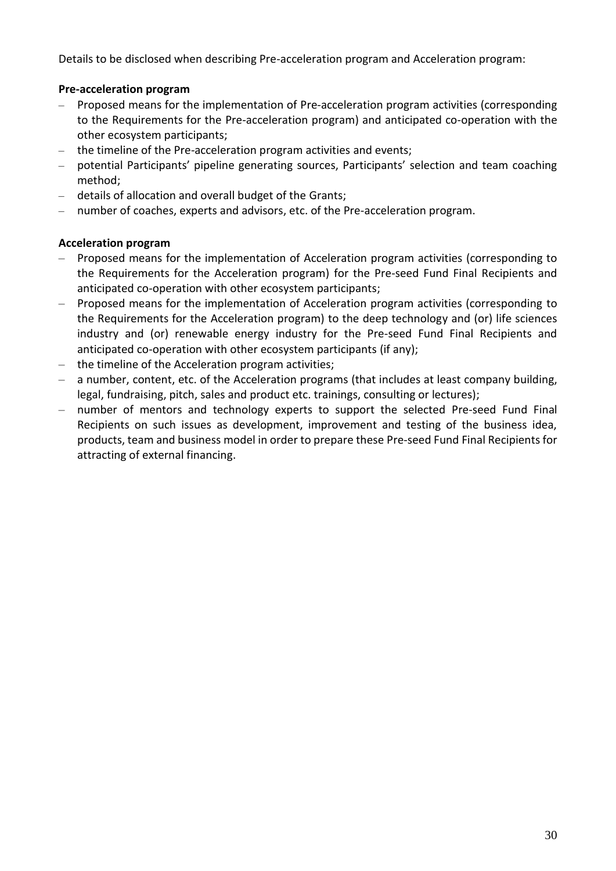Details to be disclosed when describing Pre-acceleration program and Acceleration program:

# **Pre-acceleration program**

- Proposed means for the implementation of Pre-acceleration program activities (corresponding to the Requirements for the Pre-acceleration program) and anticipated co-operation with the other ecosystem participants;
- the timeline of the Pre-acceleration program activities and events;
- potential Participants' pipeline generating sources, Participants' selection and team coaching method;
- details of allocation and overall budget of the Grants;
- number of coaches, experts and advisors, etc. of the Pre-acceleration program.

## **Acceleration program**

- Proposed means for the implementation of Acceleration program activities (corresponding to the Requirements for the Acceleration program) for the Pre-seed Fund Final Recipients and anticipated co-operation with other ecosystem participants;
- Proposed means for the implementation of Acceleration program activities (corresponding to the Requirements for the Acceleration program) to the deep technology and (or) life sciences industry and (or) renewable energy industry for the Pre-seed Fund Final Recipients and anticipated co-operation with other ecosystem participants (if any);
- the timeline of the Acceleration program activities;
- a number, content, etc. of the Acceleration programs (that includes at least company building, legal, fundraising, pitch, sales and product etc. trainings, consulting or lectures);
- number of mentors and technology experts to support the selected Pre-seed Fund Final Recipients on such issues as development, improvement and testing of the business idea, products, team and business model in order to prepare these Pre-seed Fund Final Recipients for attracting of external financing.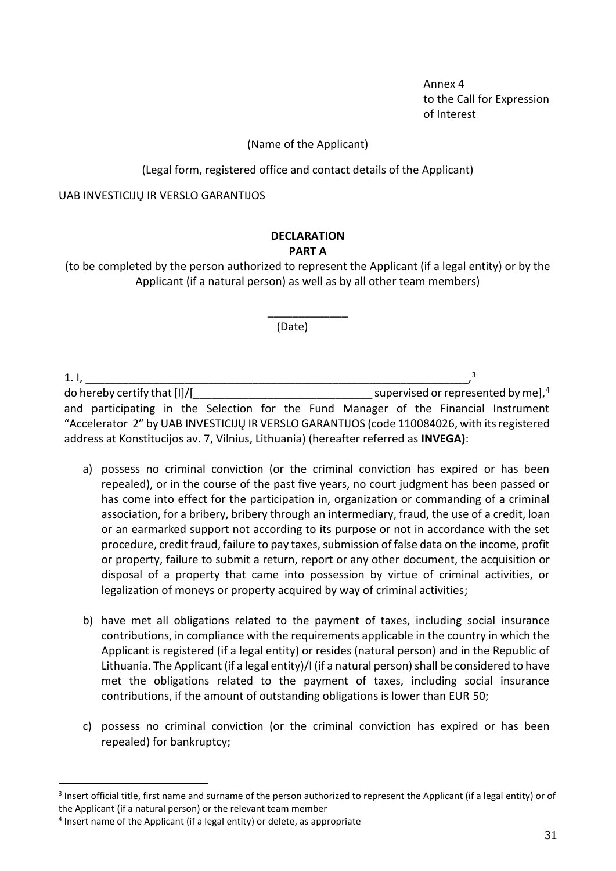Annex 4 to the Call for Expression of Interest

#### (Name of the Applicant)

(Legal form, registered office and contact details of the Applicant)

UAB INVESTICIJŲ IR VERSLO GARANTIJOS

#### **DECLARATION PART A**

(to be completed by the person authorized to represent the Applicant (if a legal entity) or by the Applicant (if a natural person) as well as by all other team members)

\_\_\_\_\_\_\_\_\_\_\_\_\_

(Date)

1. I, \_\_\_\_\_\_\_\_\_\_\_\_\_\_\_\_\_\_\_\_\_\_\_\_\_\_\_\_\_\_\_\_\_\_\_\_\_\_\_\_\_\_\_\_\_\_\_\_\_\_\_\_\_\_\_\_\_\_\_\_\_\_, 3 do hereby certify that [I]/[\_\_\_\_\_\_\_\_\_\_\_\_\_\_\_\_\_\_\_\_\_\_\_\_\_\_\_\_\_ supervised or represented by me],<sup>4</sup> and participating in the Selection for the Fund Manager of the Financial Instrument "Accelerator 2" by UAB INVESTICIJŲ IR VERSLO GARANTIJOS (code 110084026, with its registered address at Konstitucijos av. 7, Vilnius, Lithuania) (hereafter referred as **INVEGA)**:

- a) possess no criminal conviction (or the criminal conviction has expired or has been repealed), or in the course of the past five years, no court judgment has been passed or has come into effect for the participation in, organization or commanding of a criminal association, for a bribery, bribery through an intermediary, fraud, the use of a credit, loan or an earmarked support not according to its purpose or not in accordance with the set procedure, credit fraud, failure to pay taxes, submission of false data on the income, profit or property, failure to submit a return, report or any other document, the acquisition or disposal of a property that came into possession by virtue of criminal activities, or legalization of moneys or property acquired by way of criminal activities;
- b) have met all obligations related to the payment of taxes, including social insurance contributions, in compliance with the requirements applicable in the country in which the Applicant is registered (if a legal entity) or resides (natural person) and in the Republic of Lithuania. The Applicant (if a legal entity)/I (if a natural person) shall be considered to have met the obligations related to the payment of taxes, including social insurance contributions, if the amount of outstanding obligations is lower than EUR 50;
- c) possess no criminal conviction (or the criminal conviction has expired or has been repealed) for bankruptcy;

<sup>&</sup>lt;sup>3</sup> Insert official title, first name and surname of the person authorized to represent the Applicant (if a legal entity) or of the Applicant (if a natural person) or the relevant team member

<sup>&</sup>lt;sup>4</sup> Insert name of the Applicant (if a legal entity) or delete, as appropriate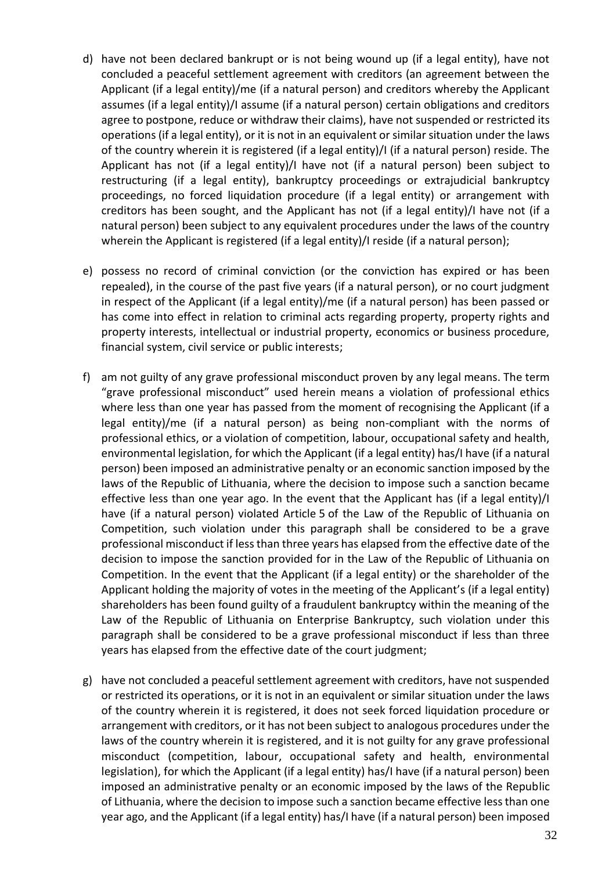- d) have not been declared bankrupt or is not being wound up (if a legal entity), have not concluded a peaceful settlement agreement with creditors (an agreement between the Applicant (if a legal entity)/me (if a natural person) and creditors whereby the Applicant assumes (if a legal entity)/I assume (if a natural person) certain obligations and creditors agree to postpone, reduce or withdraw their claims), have not suspended or restricted its operations (if a legal entity), or it is not in an equivalent or similar situation under the laws of the country wherein it is registered (if a legal entity)/I (if a natural person) reside. The Applicant has not (if a legal entity)/I have not (if a natural person) been subject to restructuring (if a legal entity), bankruptcy proceedings or extrajudicial bankruptcy proceedings, no forced liquidation procedure (if a legal entity) or arrangement with creditors has been sought, and the Applicant has not (if a legal entity)/I have not (if a natural person) been subject to any equivalent procedures under the laws of the country wherein the Applicant is registered (if a legal entity)/I reside (if a natural person);
- e) possess no record of criminal conviction (or the conviction has expired or has been repealed), in the course of the past five years (if a natural person), or no court judgment in respect of the Applicant (if a legal entity)/me (if a natural person) has been passed or has come into effect in relation to criminal acts regarding property, property rights and property interests, intellectual or industrial property, economics or business procedure, financial system, civil service or public interests;
- f) am not guilty of any grave professional misconduct proven by any legal means. The term "grave professional misconduct" used herein means a violation of professional ethics where less than one year has passed from the moment of recognising the Applicant (if a legal entity)/me (if a natural person) as being non-compliant with the norms of professional ethics, or a violation of competition, labour, occupational safety and health, environmental legislation, for which the Applicant (if a legal entity) has/I have (if a natural person) been imposed an administrative penalty or an economic sanction imposed by the laws of the Republic of Lithuania, where the decision to impose such a sanction became effective less than one year ago. In the event that the Applicant has (if a legal entity)/I have (if a natural person) violated Article 5 of the Law of the Republic of Lithuania on Competition, such violation under this paragraph shall be considered to be a grave professional misconduct if less than three years has elapsed from the effective date of the decision to impose the sanction provided for in the Law of the Republic of Lithuania on Competition. In the event that the Applicant (if a legal entity) or the shareholder of the Applicant holding the majority of votes in the meeting of the Applicant's (if a legal entity) shareholders has been found guilty of a fraudulent bankruptcy within the meaning of the Law of the Republic of Lithuania on Enterprise Bankruptcy, such violation under this paragraph shall be considered to be a grave professional misconduct if less than three years has elapsed from the effective date of the court judgment;
- g) have not concluded a peaceful settlement agreement with creditors, have not suspended or restricted its operations, or it is not in an equivalent or similar situation under the laws of the country wherein it is registered, it does not seek forced liquidation procedure or arrangement with creditors, or it has not been subject to analogous procedures under the laws of the country wherein it is registered, and it is not guilty for any grave professional misconduct (competition, labour, occupational safety and health, environmental legislation), for which the Applicant (if a legal entity) has/I have (if a natural person) been imposed an administrative penalty or an economic imposed by the laws of the Republic of Lithuania, where the decision to impose such a sanction became effective less than one year ago, and the Applicant (if a legal entity) has/I have (if a natural person) been imposed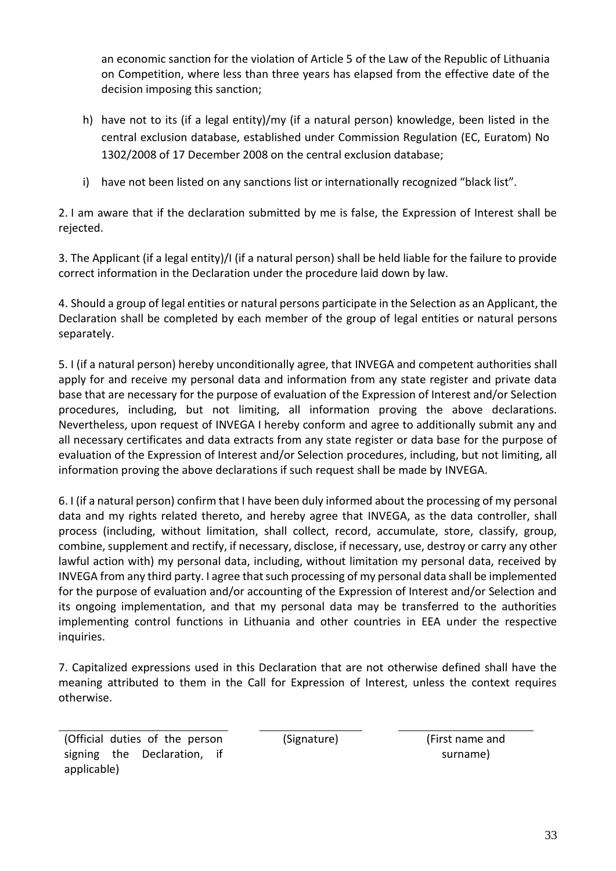an economic sanction for the violation of Article 5 of the Law of the Republic of Lithuania on Competition, where less than three years has elapsed from the effective date of the decision imposing this sanction;

- h) have not to its (if a legal entity)/my (if a natural person) knowledge, been listed in the central exclusion database, established under Commission Regulation (EC, Euratom) No 1302/2008 of 17 December 2008 on the central exclusion database;
- i) have not been listed on any sanctions list or internationally recognized "black list".

2. I am aware that if the declaration submitted by me is false, the Expression of Interest shall be rejected.

3. The Applicant (if a legal entity)/I (if a natural person) shall be held liable for the failure to provide correct information in the Declaration under the procedure laid down by law.

4. Should a group of legal entities or natural persons participate in the Selection as an Applicant, the Declaration shall be completed by each member of the group of legal entities or natural persons separately.

5. I (if a natural person) hereby unconditionally agree, that INVEGA and competent authorities shall apply for and receive my personal data and information from any state register and private data base that are necessary for the purpose of evaluation of the Expression of Interest and/or Selection procedures, including, but not limiting, all information proving the above declarations. Nevertheless, upon request of INVEGA I hereby conform and agree to additionally submit any and all necessary certificates and data extracts from any state register or data base for the purpose of evaluation of the Expression of Interest and/or Selection procedures, including, but not limiting, all information proving the above declarations if such request shall be made by INVEGA.

6. I (if a natural person) confirm that I have been duly informed about the processing of my personal data and my rights related thereto, and hereby agree that INVEGA, as the data controller, shall process (including, without limitation, shall collect, record, accumulate, store, classify, group, combine, supplement and rectify, if necessary, disclose, if necessary, use, destroy or carry any other lawful action with) my personal data, including, without limitation my personal data, received by INVEGA from any third party. I agree that such processing of my personal data shall be implemented for the purpose of evaluation and/or accounting of the Expression of Interest and/or Selection and its ongoing implementation, and that my personal data may be transferred to the authorities implementing control functions in Lithuania and other countries in EEA under the respective inquiries.

7. Capitalized expressions used in this Declaration that are not otherwise defined shall have the meaning attributed to them in the Call for Expression of Interest, unless the context requires otherwise.

(Official duties of the person signing the Declaration, if applicable)

(Signature) (First name and surname)